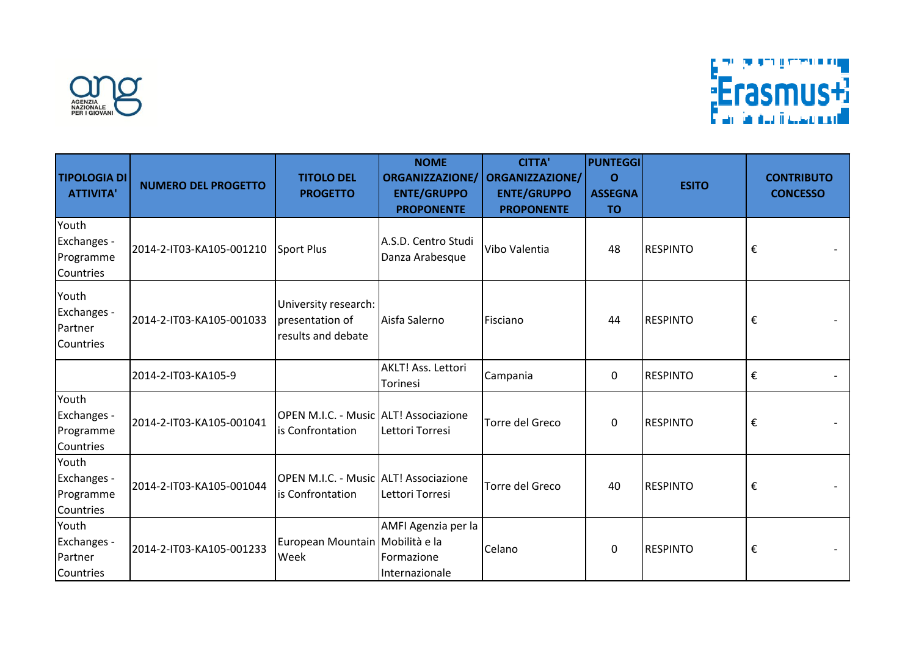



| <b>TIPOLOGIA DI</b><br><b>ATTIVITA'</b>        | <b>NUMERO DEL PROGETTO</b> | <b>TITOLO DEL</b><br><b>PROGETTO</b>                          | <b>NOME</b><br><b>ORGANIZZAZIONE/</b><br><b>ENTE/GRUPPO</b><br><b>PROPONENTE</b> | <b>CITTA'</b><br><b>ORGANIZZAZIONE/</b><br><b>ENTE/GRUPPO</b><br><b>PROPONENTE</b> | <b>PUNTEGGI</b><br>$\Omega$<br><b>ASSEGNA</b><br><b>TO</b> | <b>ESITO</b>    | <b>CONTRIBUTO</b><br><b>CONCESSO</b> |
|------------------------------------------------|----------------------------|---------------------------------------------------------------|----------------------------------------------------------------------------------|------------------------------------------------------------------------------------|------------------------------------------------------------|-----------------|--------------------------------------|
| Youth<br>Exchanges -<br>Programme<br>Countries | 2014-2-IT03-KA105-001210   | Sport Plus                                                    | A.S.D. Centro Studi<br>Danza Arabesque                                           | Vibo Valentia                                                                      | 48                                                         | <b>RESPINTO</b> | €                                    |
| Youth<br>Exchanges -<br>Partner<br>Countries   | 2014-2-IT03-KA105-001033   | University research:<br>presentation of<br>results and debate | Aisfa Salerno                                                                    | Fisciano                                                                           | 44                                                         | <b>RESPINTO</b> | €                                    |
|                                                | 2014-2-IT03-KA105-9        |                                                               | AKLT! Ass. Lettori<br>Torinesi                                                   | Campania                                                                           | $\mathbf 0$                                                | <b>RESPINTO</b> | €                                    |
| Youth<br>Exchanges -<br>Programme<br>Countries | 2014-2-IT03-KA105-001041   | OPEN M.I.C. - Music ALT! Associazione<br>is Confrontation     | Lettori Torresi                                                                  | Torre del Greco                                                                    | $\mathbf{0}$                                               | <b>RESPINTO</b> | €                                    |
| Youth<br>Exchanges -<br>Programme<br>Countries | 2014-2-IT03-KA105-001044   | OPEN M.I.C. - Music ALT! Associazione<br>is Confrontation     | Lettori Torresi                                                                  | Torre del Greco                                                                    | 40                                                         | <b>RESPINTO</b> | €                                    |
| Youth<br>Exchanges -<br>Partner<br>Countries   | 2014-2-IT03-KA105-001233   | European Mountain Mobilità e la<br>Week                       | AMFI Agenzia per la<br>Formazione<br>Internazionale                              | Celano                                                                             | 0                                                          | <b>RESPINTO</b> | €                                    |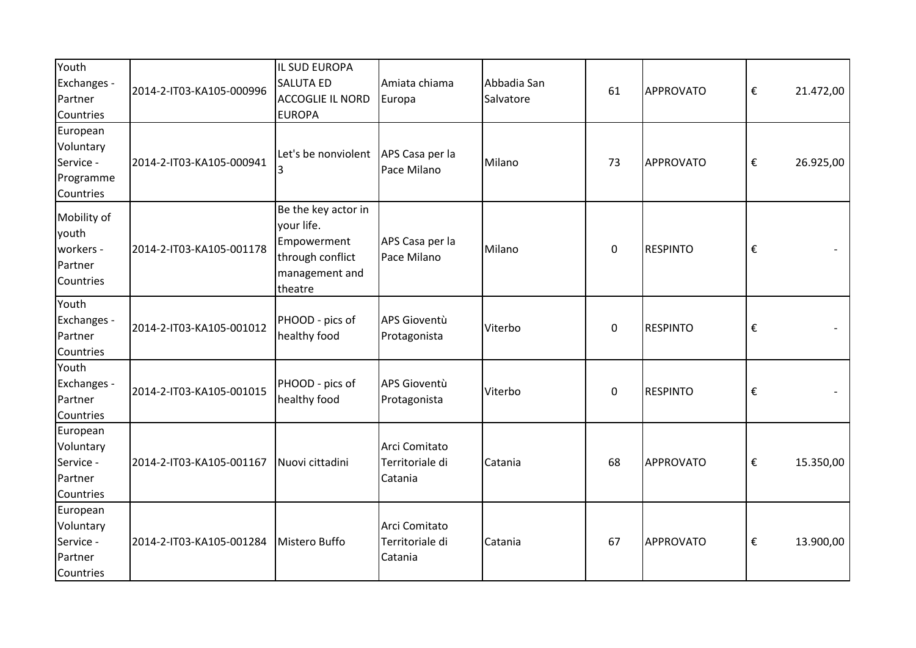| Youth<br>Exchanges -<br>Partner<br>Countries                     | 2014-2-IT03-KA105-000996 | IL SUD EUROPA<br><b>SALUTA ED</b><br><b>ACCOGLIE IL NORD</b><br><b>EUROPA</b>                     | Amiata chiama<br>Europa                     | Abbadia San<br>Salvatore | 61 | <b>APPROVATO</b> | € | 21.472,00 |
|------------------------------------------------------------------|--------------------------|---------------------------------------------------------------------------------------------------|---------------------------------------------|--------------------------|----|------------------|---|-----------|
| European<br>Voluntary<br>Service -<br>Programme<br>Countries     | 2014-2-IT03-KA105-000941 | Let's be nonviolent                                                                               | APS Casa per la<br>Pace Milano              | Milano                   | 73 | <b>APPROVATO</b> | € | 26.925,00 |
| Mobility of<br>youth<br>workers -<br>Partner<br><b>Countries</b> | 2014-2-IT03-KA105-001178 | Be the key actor in<br>your life.<br>Empowerment<br>through conflict<br>management and<br>theatre | APS Casa per la<br>Pace Milano              | Milano                   | 0  | <b>RESPINTO</b>  | € |           |
| Youth<br>Exchanges -<br>Partner<br>Countries                     | 2014-2-IT03-KA105-001012 | PHOOD - pics of<br>healthy food                                                                   | APS Gioventù<br>Protagonista                | Viterbo                  | 0  | <b>RESPINTO</b>  | € |           |
| Youth<br>Exchanges -<br>Partner<br>Countries                     | 2014-2-IT03-KA105-001015 | PHOOD - pics of<br>healthy food                                                                   | APS Gioventù<br>Protagonista                | Viterbo                  | 0  | <b>RESPINTO</b>  | € |           |
| European<br>Voluntary<br>Service -<br>Partner<br>Countries       | 2014-2-IT03-KA105-001167 | Nuovi cittadini                                                                                   | Arci Comitato<br>Territoriale di<br>Catania | Catania                  | 68 | <b>APPROVATO</b> | € | 15.350,00 |
| European<br>Voluntary<br>Service -<br>Partner<br>Countries       | 2014-2-IT03-KA105-001284 | Mistero Buffo                                                                                     | Arci Comitato<br>Territoriale di<br>Catania | Catania                  | 67 | <b>APPROVATO</b> | € | 13.900,00 |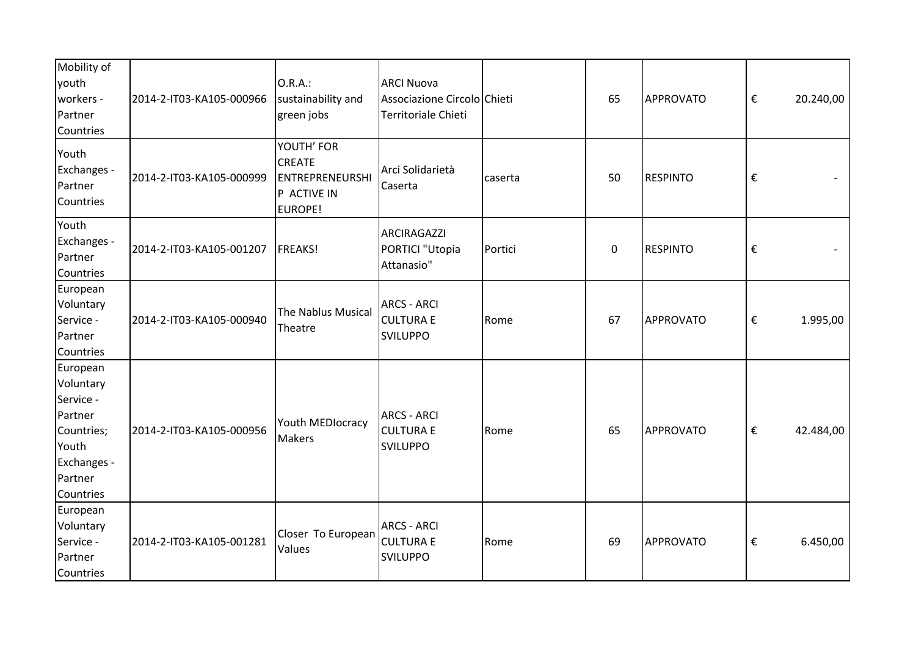| Mobility of<br>youth<br>workers -<br>Partner<br>Countries                                                   | 2014-2-IT03-KA105-000966 | 0.R.A.:<br>sustainability and<br>green jobs                              | <b>ARCI Nuova</b><br>Associazione Circolo Chieti<br>Territoriale Chieti |         | 65          | APPROVATO       | €                       | 20.240,00 |
|-------------------------------------------------------------------------------------------------------------|--------------------------|--------------------------------------------------------------------------|-------------------------------------------------------------------------|---------|-------------|-----------------|-------------------------|-----------|
| Youth<br>Exchanges -<br>Partner<br>Countries                                                                | 2014-2-IT03-KA105-000999 | YOUTH' FOR<br><b>CREATE</b><br>ENTREPRENEURSHI<br>P ACTIVE IN<br>EUROPE! | Arci Solidarietà<br>Caserta                                             | caserta | 50          | <b>RESPINTO</b> | €                       |           |
| Youth<br>Exchanges -<br>Partner<br>Countries                                                                | 2014-2-IT03-KA105-001207 | <b>FREAKS!</b>                                                           | <b>ARCIRAGAZZI</b><br>PORTICI "Utopia<br>Attanasio"                     | Portici | $\mathbf 0$ | <b>RESPINTO</b> | $\boldsymbol{\epsilon}$ |           |
| European<br>Voluntary<br>Service -<br>Partner<br>Countries                                                  | 2014-2-IT03-KA105-000940 | The Nablus Musical<br>Theatre                                            | <b>ARCS - ARCI</b><br><b>CULTURA E</b><br><b>SVILUPPO</b>               | Rome    | 67          | APPROVATO       | €                       | 1.995,00  |
| European<br>Voluntary<br>Service -<br>Partner<br>Countries;<br>Youth<br>Exchanges -<br>Partner<br>Countries | 2014-2-IT03-KA105-000956 | Youth MEDIocracy<br>Makers                                               | <b>ARCS - ARCI</b><br><b>CULTURA E</b><br><b>SVILUPPO</b>               | Rome    | 65          | APPROVATO       | €                       | 42.484,00 |
| European<br>Voluntary<br>Service -<br>Partner<br>Countries                                                  | 2014-2-IT03-KA105-001281 | Closer To European<br>Values                                             | <b>ARCS - ARCI</b><br><b>CULTURA E</b><br><b>SVILUPPO</b>               | Rome    | 69          | APPROVATO       | $\boldsymbol{\epsilon}$ | 6.450,00  |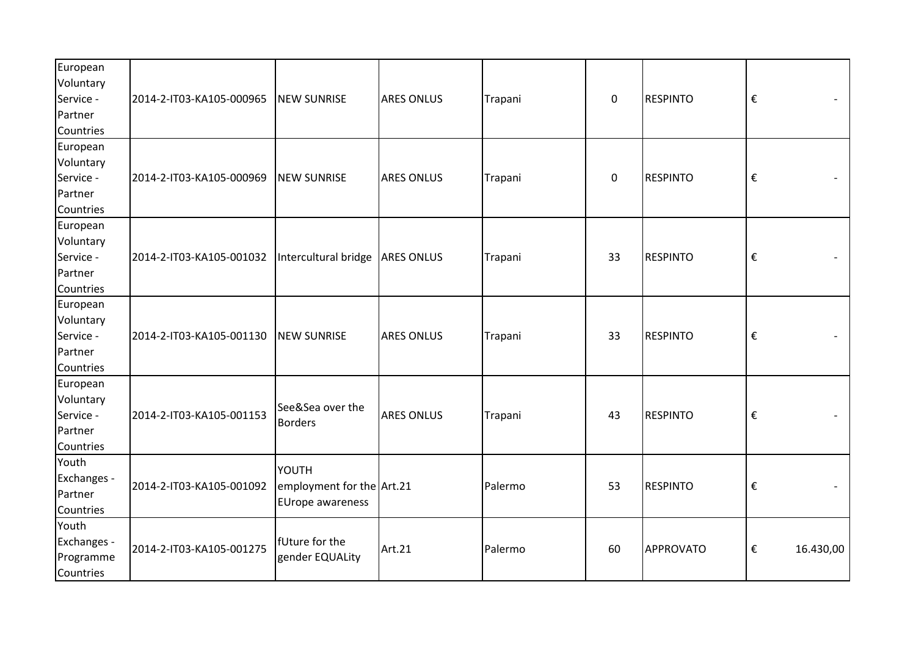| European<br>Voluntary<br>Service -<br>Partner<br>Countries | 2014-2-IT03-KA105-000965 | <b>NEW SUNRISE</b>                                            | <b>ARES ONLUS</b> | Trapani | $\pmb{0}$   | <b>RESPINTO</b> | $\boldsymbol{\epsilon}$ |           |
|------------------------------------------------------------|--------------------------|---------------------------------------------------------------|-------------------|---------|-------------|-----------------|-------------------------|-----------|
| European<br>Voluntary<br>Service -<br>Partner<br>Countries | 2014-2-IT03-KA105-000969 | <b>NEW SUNRISE</b>                                            | <b>ARES ONLUS</b> | Trapani | $\mathbf 0$ | <b>RESPINTO</b> | $\boldsymbol{\epsilon}$ |           |
| European<br>Voluntary<br>Service -<br>Partner<br>Countries | 2014-2-IT03-KA105-001032 | Intercultural bridge ARES ONLUS                               |                   | Trapani | 33          | <b>RESPINTO</b> | €                       |           |
| European<br>Voluntary<br>Service -<br>Partner<br>Countries | 2014-2-IT03-KA105-001130 | <b>NEW SUNRISE</b>                                            | <b>ARES ONLUS</b> | Trapani | 33          | <b>RESPINTO</b> | $\boldsymbol{\epsilon}$ |           |
| European<br>Voluntary<br>Service -<br>Partner<br>Countries | 2014-2-IT03-KA105-001153 | See&Sea over the<br><b>Borders</b>                            | <b>ARES ONLUS</b> | Trapani | 43          | <b>RESPINTO</b> | €                       |           |
| Youth<br>Exchanges -<br>Partner<br>Countries               | 2014-2-IT03-KA105-001092 | YOUTH<br>employment for the Art.21<br><b>EUrope awareness</b> |                   | Palermo | 53          | <b>RESPINTO</b> | $\boldsymbol{\epsilon}$ |           |
| Youth<br>Exchanges -<br>Programme<br>Countries             | 2014-2-IT03-KA105-001275 | fUture for the<br>gender EQUALity                             | Art.21            | Palermo | 60          | APPROVATO       | €                       | 16.430,00 |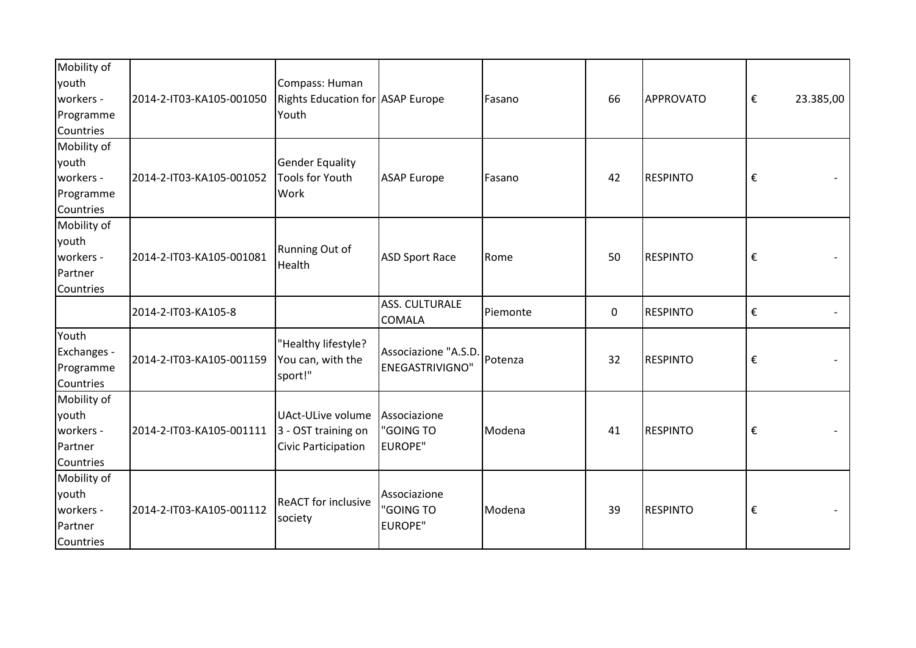| Mobility of<br>youth<br>workers -<br>Programme<br>Countries | 2014-2-IT03-KA105-001050 | Compass: Human<br><b>Rights Education for ASAP Europe</b><br>Youth |                                                | Fasano   | 66 | <b>APPROVATO</b> | $\boldsymbol{\epsilon}$<br>23.385,00 |
|-------------------------------------------------------------|--------------------------|--------------------------------------------------------------------|------------------------------------------------|----------|----|------------------|--------------------------------------|
| Mobility of<br>youth<br>workers -<br>Programme<br>Countries | 2014-2-IT03-KA105-001052 | <b>Gender Equality</b><br><b>Tools for Youth</b><br>Work           | <b>ASAP Europe</b>                             | Fasano   | 42 | <b>RESPINTO</b>  | $\boldsymbol{\epsilon}$              |
| Mobility of<br>youth<br>workers -<br>Partner<br>Countries   | 2014-2-IT03-KA105-001081 | Running Out of<br>Health                                           | <b>ASD Sport Race</b>                          | Rome     | 50 | <b>RESPINTO</b>  | €                                    |
|                                                             | 2014-2-IT03-KA105-8      |                                                                    | ASS. CULTURALE<br><b>COMALA</b>                | Piemonte | 0  | <b>RESPINTO</b>  | $\boldsymbol{\epsilon}$              |
| Youth<br>Exchanges -<br>Programme<br>Countries              | 2014-2-IT03-KA105-001159 | "Healthy lifestyle?<br>You can, with the<br>sport!"                | Associazione "A.S.D.<br><b>ENEGASTRIVIGNO"</b> | Potenza  | 32 | <b>RESPINTO</b>  | €                                    |
| Mobility of<br>youth<br>workers -<br>Partner<br>Countries   | 2014-2-IT03-KA105-001111 | UAct-ULive volume<br>3 - OST training on<br>Civic Participation    | Associazione<br>"GOING TO<br><b>EUROPE"</b>    | Modena   | 41 | <b>RESPINTO</b>  | $\boldsymbol{\epsilon}$              |
| Mobility of<br>youth<br>workers -<br>Partner<br>Countries   | 2014-2-IT03-KA105-001112 | <b>ReACT</b> for inclusive<br>society                              | Associazione<br>"GOING TO<br><b>EUROPE"</b>    | Modena   | 39 | <b>RESPINTO</b>  | €                                    |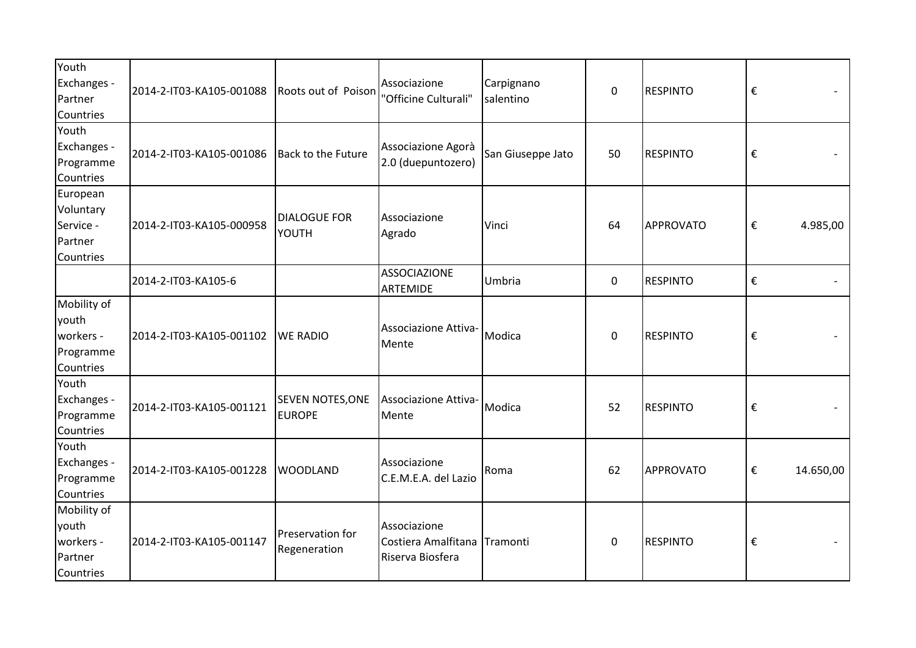| Youth<br>Exchanges -<br>Partner<br>Countries                | 2014-2-IT03-KA105-001088 | Roots out of Poison                      | Associazione<br>"Officine Culturali"                             | Carpignano<br>salentino | $\mathbf 0$ | <b>RESPINTO</b> | $\boldsymbol{\epsilon}$ |                          |
|-------------------------------------------------------------|--------------------------|------------------------------------------|------------------------------------------------------------------|-------------------------|-------------|-----------------|-------------------------|--------------------------|
| Youth<br>Exchanges -<br>Programme<br>Countries              | 2014-2-IT03-KA105-001086 | Back to the Future                       | Associazione Agorà<br>2.0 (duepuntozero)                         | San Giuseppe Jato       | 50          | <b>RESPINTO</b> | €                       |                          |
| European<br>Voluntary<br>Service -<br>Partner<br>Countries  | 2014-2-IT03-KA105-000958 | <b>DIALOGUE FOR</b><br>YOUTH             | Associazione<br>Agrado                                           | Vinci                   | 64          | APPROVATO       | €                       | 4.985,00                 |
|                                                             | 2014-2-IT03-KA105-6      |                                          | <b>ASSOCIAZIONE</b><br><b>ARTEMIDE</b>                           | Umbria                  | 0           | <b>RESPINTO</b> | €                       | $\overline{\phantom{a}}$ |
| Mobility of<br>youth<br>workers -<br>Programme<br>Countries | 2014-2-IT03-KA105-001102 | <b>WE RADIO</b>                          | Associazione Attiva-<br>Mente                                    | Modica                  | $\mathbf 0$ | <b>RESPINTO</b> | €                       |                          |
| Youth<br>Exchanges -<br>Programme<br>Countries              | 2014-2-IT03-KA105-001121 | <b>SEVEN NOTES, ONE</b><br><b>EUROPE</b> | Associazione Attiva-<br>Mente                                    | Modica                  | 52          | <b>RESPINTO</b> | €                       |                          |
| Youth<br>Exchanges -<br>Programme<br>Countries              | 2014-2-IT03-KA105-001228 | <b>WOODLAND</b>                          | Associazione<br>C.E.M.E.A. del Lazio                             | Roma                    | 62          | APPROVATO       | €                       | 14.650,00                |
| Mobility of<br>youth<br>workers -<br>Partner<br>Countries   | 2014-2-IT03-KA105-001147 | Preservation for<br>Regeneration         | Associazione<br>Costiera Amalfitana Tramonti<br>Riserva Biosfera |                         | $\mathbf 0$ | <b>RESPINTO</b> | €                       |                          |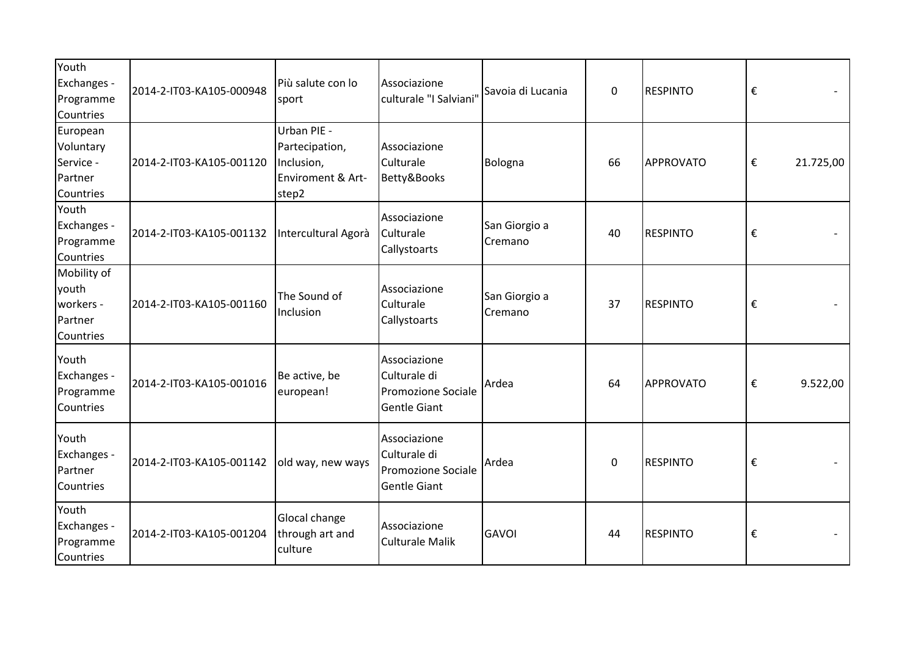| Youth<br>Exchanges -<br>Programme<br>Countries             | 2014-2-IT03-KA105-000948 | Più salute con lo<br>sport                                                | Associazione<br>culturale "I Salviani"                                           | Savoia di Lucania        | $\mathbf 0$ | <b>RESPINTO</b> | $\boldsymbol{\epsilon}$ |           |
|------------------------------------------------------------|--------------------------|---------------------------------------------------------------------------|----------------------------------------------------------------------------------|--------------------------|-------------|-----------------|-------------------------|-----------|
| European<br>Voluntary<br>Service -<br>Partner<br>Countries | 2014-2-IT03-KA105-001120 | Urban PIE -<br>Partecipation,<br>Inclusion,<br>Enviroment & Art-<br>step2 | Associazione<br>Culturale<br>Betty&Books                                         | Bologna                  | 66          | APPROVATO       | €                       | 21.725,00 |
| Youth<br>Exchanges -<br>Programme<br>Countries             | 2014-2-IT03-KA105-001132 | Intercultural Agorà                                                       | Associazione<br>Culturale<br>Callystoarts                                        | San Giorgio a<br>Cremano | 40          | <b>RESPINTO</b> | $\boldsymbol{\epsilon}$ |           |
| Mobility of<br>youth<br>workers -<br>Partner<br>Countries  | 2014-2-IT03-KA105-001160 | The Sound of<br>Inclusion                                                 | Associazione<br>Culturale<br>Callystoarts                                        | San Giorgio a<br>Cremano | 37          | <b>RESPINTO</b> | $\boldsymbol{\epsilon}$ |           |
| Youth<br>Exchanges -<br>Programme<br>Countries             | 2014-2-IT03-KA105-001016 | Be active, be<br>european!                                                | Associazione<br>Culturale di<br><b>Promozione Sociale</b><br><b>Gentle Giant</b> | Ardea                    | 64          | APPROVATO       | €                       | 9.522,00  |
| Youth<br>Exchanges -<br>Partner<br>Countries               | 2014-2-IT03-KA105-001142 | old way, new ways                                                         | Associazione<br>Culturale di<br><b>Promozione Sociale</b><br><b>Gentle Giant</b> | Ardea                    | 0           | <b>RESPINTO</b> | €                       |           |
| Youth<br>Exchanges -<br>Programme<br>Countries             | 2014-2-IT03-KA105-001204 | Glocal change<br>through art and<br>culture                               | Associazione<br><b>Culturale Malik</b>                                           | <b>GAVOI</b>             | 44          | <b>RESPINTO</b> | €                       |           |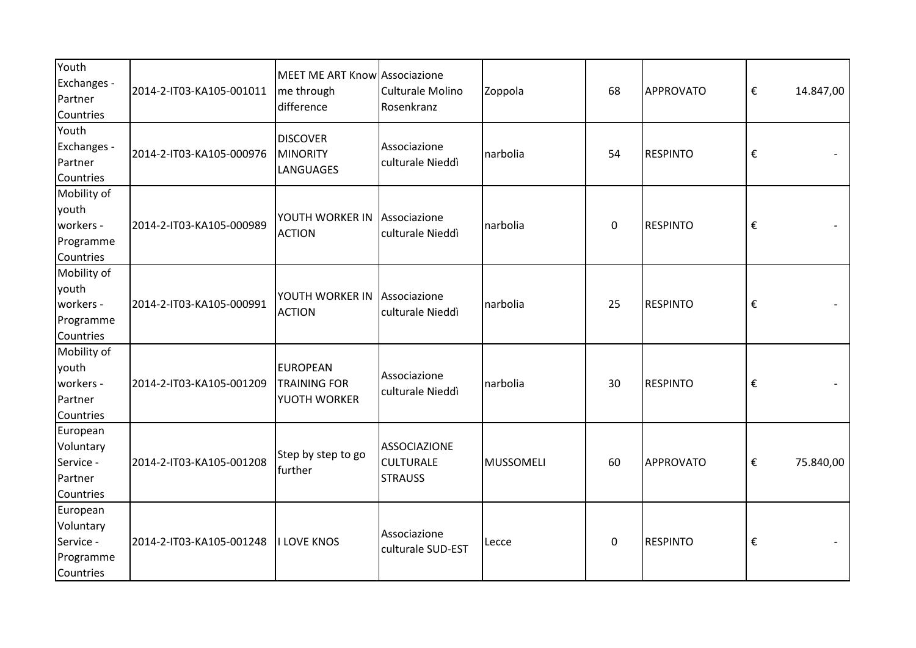| Youth<br>Exchanges -<br>Partner<br>Countries                 | 2014-2-IT03-KA105-001011 | MEET ME ART Know Associazione<br>me through<br>difference | Culturale Molino<br>Rosenkranz                            | Zoppola          | 68          | APPROVATO       | €                       | 14.847,00 |
|--------------------------------------------------------------|--------------------------|-----------------------------------------------------------|-----------------------------------------------------------|------------------|-------------|-----------------|-------------------------|-----------|
| Youth<br>Exchanges -<br>Partner<br>Countries                 | 2014-2-IT03-KA105-000976 | <b>DISCOVER</b><br>MINORITY<br>LANGUAGES                  | Associazione<br>culturale Nieddì                          | narbolia         | 54          | <b>RESPINTO</b> | €                       |           |
| Mobility of<br>youth<br>workers -<br>Programme<br>Countries  | 2014-2-IT03-KA105-000989 | YOUTH WORKER IN Associazione<br><b>ACTION</b>             | culturale Nieddì                                          | narbolia         | 0           | <b>RESPINTO</b> | $\boldsymbol{\epsilon}$ |           |
| Mobility of<br>youth<br>workers -<br>Programme<br>Countries  | 2014-2-IT03-KA105-000991 | YOUTH WORKER IN<br><b>ACTION</b>                          | Associazione<br>culturale Nieddì                          | narbolia         | 25          | <b>RESPINTO</b> | $\boldsymbol{\epsilon}$ |           |
| Mobility of<br>youth<br>workers -<br>Partner<br>Countries    | 2014-2-IT03-KA105-001209 | <b>EUROPEAN</b><br><b>TRAINING FOR</b><br>YUOTH WORKER    | Associazione<br>culturale Nieddì                          | narbolia         | 30          | <b>RESPINTO</b> | $\boldsymbol{\epsilon}$ |           |
| European<br>Voluntary<br>Service -<br>Partner<br>Countries   | 2014-2-IT03-KA105-001208 | Step by step to go<br>further                             | <b>ASSOCIAZIONE</b><br><b>CULTURALE</b><br><b>STRAUSS</b> | <b>MUSSOMELI</b> | 60          | APPROVATO       | $\boldsymbol{\epsilon}$ | 75.840,00 |
| European<br>Voluntary<br>Service -<br>Programme<br>Countries | 2014-2-IT03-KA105-001248 | <b>I LOVE KNOS</b>                                        | Associazione<br>culturale SUD-EST                         | Lecce            | $\mathbf 0$ | <b>RESPINTO</b> | €                       |           |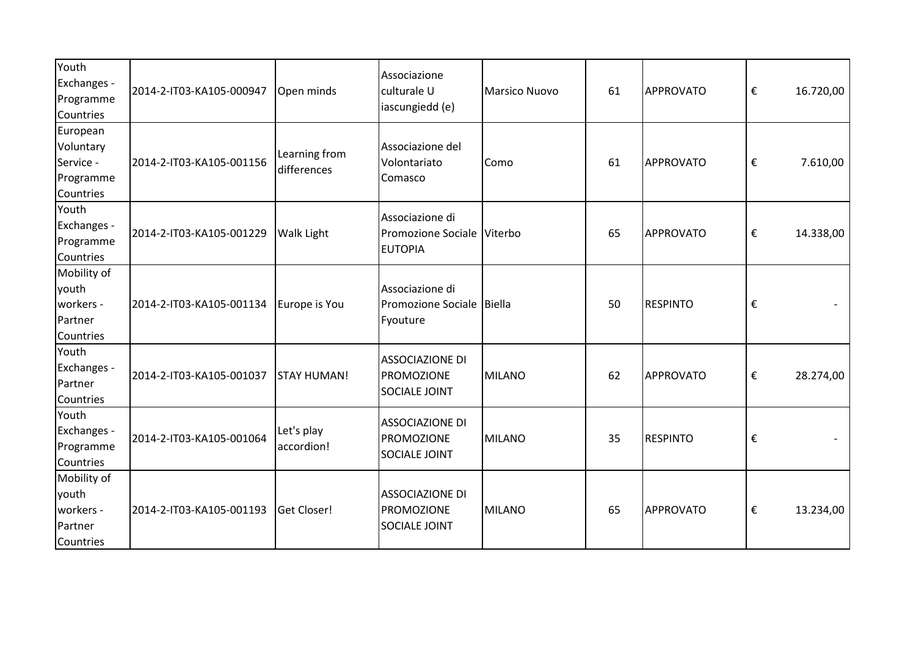| Youth<br>Exchanges -<br>Programme<br>Countries               | 2014-2-IT03-KA105-000947 | Open minds                   | Associazione<br>culturale U<br>iascungiedd (e)                  | Marsico Nuovo | 61 | APPROVATO       | €                       | 16.720,00 |
|--------------------------------------------------------------|--------------------------|------------------------------|-----------------------------------------------------------------|---------------|----|-----------------|-------------------------|-----------|
| European<br>Voluntary<br>Service -<br>Programme<br>Countries | 2014-2-IT03-KA105-001156 | Learning from<br>differences | Associazione del<br>Volontariato<br>Comasco                     | Como          | 61 | APPROVATO       | $\boldsymbol{\epsilon}$ | 7.610,00  |
| Youth<br>Exchanges -<br>Programme<br>Countries               | 2014-2-IT03-KA105-001229 | <b>Walk Light</b>            | Associazione di<br>Promozione Sociale Viterbo<br><b>EUTOPIA</b> |               | 65 | APPROVATO       | €                       | 14.338,00 |
| Mobility of<br>youth<br>workers -<br>Partner<br>Countries    | 2014-2-IT03-KA105-001134 | Europe is You                | Associazione di<br>Promozione Sociale Biella<br>Fyouture        |               | 50 | <b>RESPINTO</b> | €                       |           |
| Youth<br>Exchanges -<br>Partner<br>Countries                 | 2014-2-IT03-KA105-001037 | <b>STAY HUMAN!</b>           | <b>ASSOCIAZIONE DI</b><br>PROMOZIONE<br><b>SOCIALE JOINT</b>    | MILANO        | 62 | APPROVATO       | $\boldsymbol{\epsilon}$ | 28.274,00 |
| Youth<br>Exchanges -<br>Programme<br>Countries               | 2014-2-IT03-KA105-001064 | Let's play<br>accordion!     | <b>ASSOCIAZIONE DI</b><br>PROMOZIONE<br><b>SOCIALE JOINT</b>    | MILANO        | 35 | RESPINTO        | $\boldsymbol{\epsilon}$ |           |
| Mobility of<br>youth<br>workers -<br>Partner<br>Countries    | 2014-2-IT03-KA105-001193 | Get Closer!                  | <b>ASSOCIAZIONE DI</b><br>PROMOZIONE<br>SOCIALE JOINT           | MILANO        | 65 | APPROVATO       | €                       | 13.234,00 |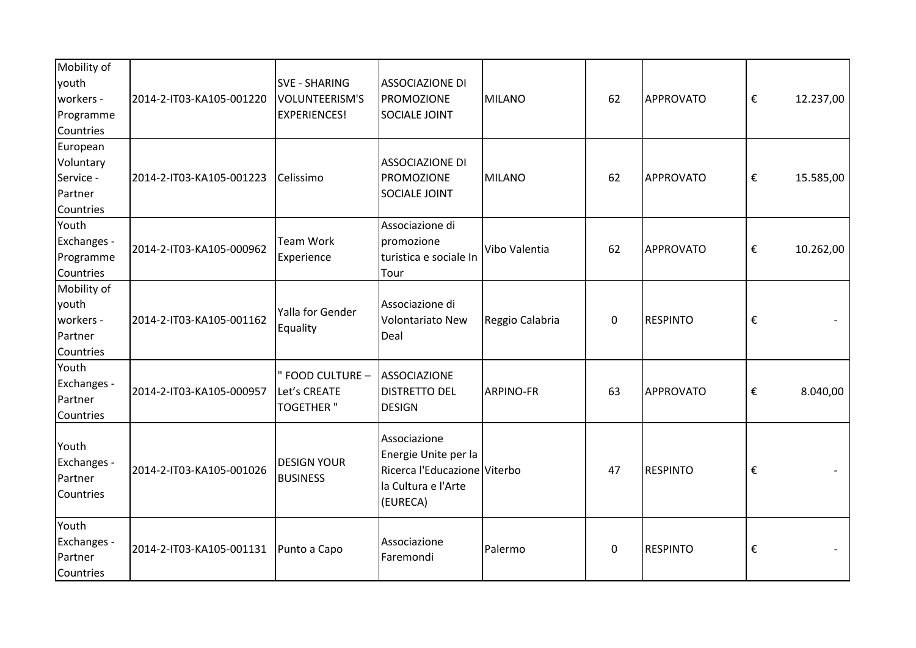| Mobility of<br>youth<br>workers -<br>Programme<br>Countries | 2014-2-IT03-KA105-001220 | <b>SVE - SHARING</b><br>VOLUNTEERISM'S<br><b>EXPERIENCES!</b> | <b>ASSOCIAZIONE DI</b><br><b>PROMOZIONE</b><br><b>SOCIALE JOINT</b>                                     | MILANO           | 62          | APPROVATO       | €                       | 12.237,00 |
|-------------------------------------------------------------|--------------------------|---------------------------------------------------------------|---------------------------------------------------------------------------------------------------------|------------------|-------------|-----------------|-------------------------|-----------|
| European<br>Voluntary<br>Service -<br>Partner<br>Countries  | 2014-2-IT03-KA105-001223 | Celissimo                                                     | <b>ASSOCIAZIONE DI</b><br>PROMOZIONE<br><b>SOCIALE JOINT</b>                                            | MILANO           | 62          | APPROVATO       | €                       | 15.585,00 |
| Youth<br>Exchanges -<br>Programme<br>Countries              | 2014-2-IT03-KA105-000962 | <b>Team Work</b><br>Experience                                | Associazione di<br>promozione<br>turistica e sociale In<br>Tour                                         | Vibo Valentia    | 62          | APPROVATO       | €                       | 10.262,00 |
| Mobility of<br>youth<br>workers -<br>Partner<br>Countries   | 2014-2-IT03-KA105-001162 | Yalla for Gender<br>Equality                                  | Associazione di<br><b>Volontariato New</b><br>Deal                                                      | Reggio Calabria  | $\mathbf 0$ | <b>RESPINTO</b> | €                       |           |
| Youth<br>Exchanges -<br>Partner<br>Countries                | 2014-2-IT03-KA105-000957 | " FOOD CULTURE -<br>Let's CREATE<br><b>TOGETHER</b> "         | <b>ASSOCIAZIONE</b><br><b>DISTRETTO DEL</b><br><b>DESIGN</b>                                            | <b>ARPINO-FR</b> | 63          | APPROVATO       | €                       | 8.040,00  |
| Youth<br>Exchanges -<br>Partner<br>Countries                | 2014-2-IT03-KA105-001026 | <b>DESIGN YOUR</b><br><b>BUSINESS</b>                         | Associazione<br>Energie Unite per la<br>Ricerca l'Educazione Viterbo<br>la Cultura e l'Arte<br>(EURECA) |                  | 47          | <b>RESPINTO</b> | $\boldsymbol{\epsilon}$ |           |
| Youth<br>Exchanges -<br>Partner<br>Countries                | 2014-2-IT03-KA105-001131 | Punto a Capo                                                  | Associazione<br>Faremondi                                                                               | Palermo          | $\mathbf 0$ | <b>RESPINTO</b> | €                       |           |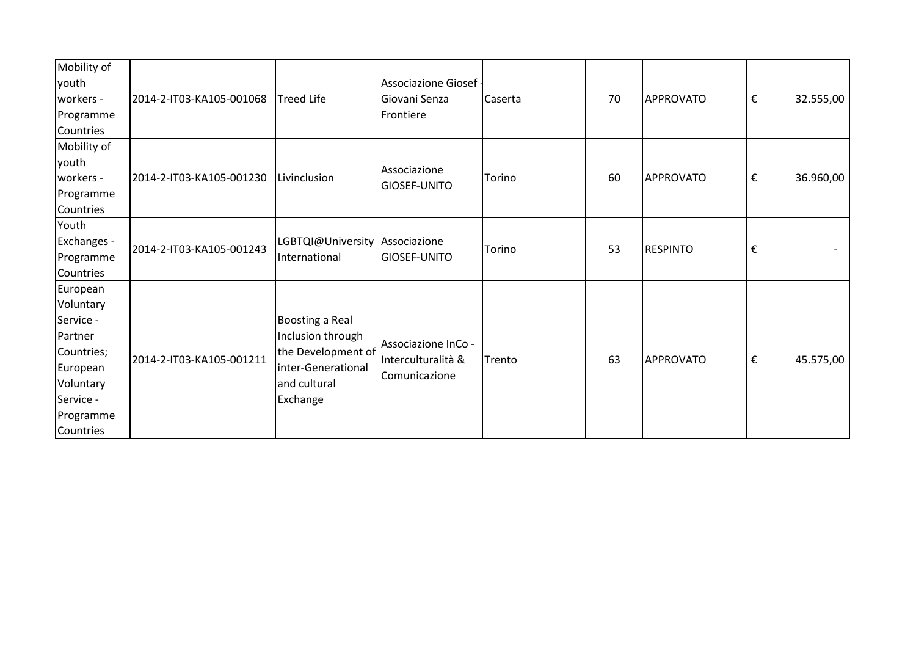| Mobility of |                          |                                |                       |         |    |                                                                           |   |           |
|-------------|--------------------------|--------------------------------|-----------------------|---------|----|---------------------------------------------------------------------------|---|-----------|
| youth       |                          |                                | Associazione Giosef - |         |    |                                                                           |   |           |
| workers -   | 2014-2-IT03-KA105-001068 | Treed Life                     | Giovani Senza         | Caserta | 70 | APPROVATO                                                                 | € | 32.555,00 |
| Programme   |                          |                                | Frontiere             |         |    |                                                                           |   |           |
| Countries   |                          |                                |                       |         |    |                                                                           |   |           |
| Mobility of |                          |                                |                       |         |    |                                                                           |   |           |
| youth       |                          |                                | Associazione          |         |    |                                                                           |   |           |
| workers -   | 2014-2-IT03-KA105-001230 | Livinclusion                   | GIOSEF-UNITO          | Torino  | 60 |                                                                           | € | 36.960,00 |
| Programme   |                          |                                |                       |         |    |                                                                           |   |           |
| Countries   |                          |                                |                       |         |    |                                                                           |   |           |
| Youth       |                          |                                |                       |         |    |                                                                           |   |           |
| Exchanges - | 2014-2-IT03-KA105-001243 | LGBTQI@University Associazione |                       | Torino  | 53 |                                                                           |   |           |
| Programme   |                          | International                  | GIOSEF-UNITO          |         |    |                                                                           |   |           |
| Countries   |                          |                                |                       |         |    |                                                                           |   |           |
| European    |                          |                                |                       |         |    |                                                                           |   |           |
| Voluntary   |                          |                                |                       |         |    |                                                                           |   |           |
| Service -   |                          | Boosting a Real                |                       |         |    |                                                                           |   |           |
| Partner     |                          | Inclusion through              |                       |         |    |                                                                           |   |           |
| Countries;  |                          | the Development of             | Associazione InCo -   |         |    |                                                                           |   |           |
| European    | 2014-2-IT03-KA105-001211 | inter-Generational             | Interculturalità &    | Trento  | 63 |                                                                           |   | 45.575,00 |
| Voluntary   |                          | and cultural                   | Comunicazione         |         |    | APPROVATO<br>$\boldsymbol{\epsilon}$<br><b>RESPINTO</b><br>€<br>APPROVATO |   |           |
| Service -   |                          | Exchange                       |                       |         |    |                                                                           |   |           |
| Programme   |                          |                                |                       |         |    |                                                                           |   |           |
| Countries   |                          |                                |                       |         |    |                                                                           |   |           |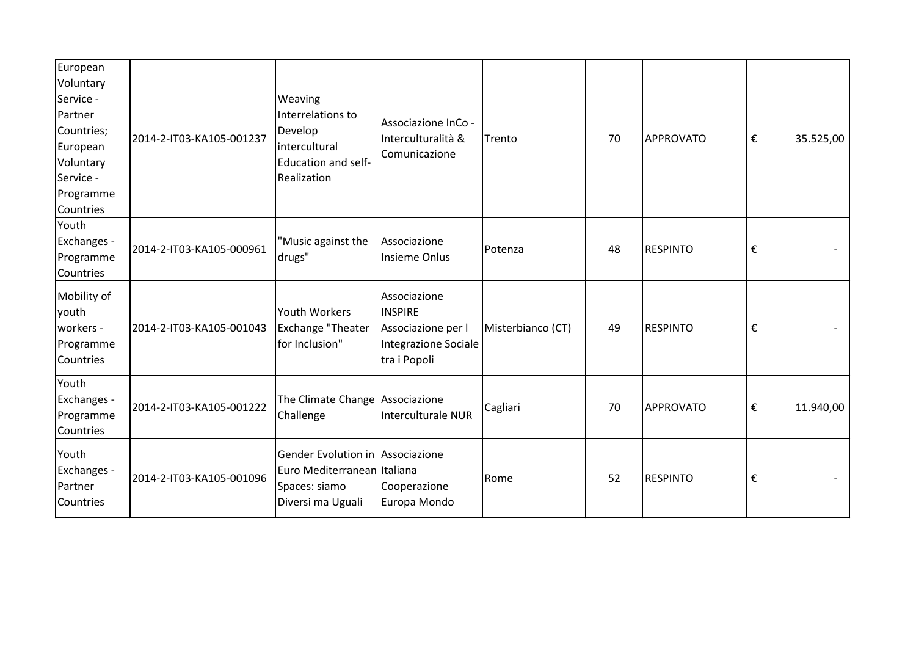| European<br>Voluntary<br>Service -<br>Partner<br>Countries;<br>European | 2014-2-IT03-KA105-001237 | Weaving<br>Interrelations to<br>Develop<br><i>intercultural</i>                                       | Associazione InCo -<br>Interculturalità &                                                    | Trento            | 70 | APPROVATO       | €<br>35.525,00 |  |
|-------------------------------------------------------------------------|--------------------------|-------------------------------------------------------------------------------------------------------|----------------------------------------------------------------------------------------------|-------------------|----|-----------------|----------------|--|
| Voluntary<br>Service -<br>Programme<br>Countries                        |                          | Education and self-<br>Realization                                                                    | Comunicazione                                                                                |                   |    |                 |                |  |
| Youth<br>Exchanges -<br>Programme<br>Countries                          | 2014-2-IT03-KA105-000961 | "Music against the<br>drugs"                                                                          | Associazione<br>Insieme Onlus                                                                | Potenza           | 48 | <b>RESPINTO</b> | €              |  |
| Mobility of<br>youth<br>workers -<br>Programme<br>Countries             | 2014-2-IT03-KA105-001043 | Youth Workers<br>Exchange "Theater<br>for Inclusion"                                                  | Associazione<br><b>INSPIRE</b><br>Associazione per l<br>Integrazione Sociale<br>tra i Popoli | Misterbianco (CT) | 49 | <b>RESPINTO</b> | €              |  |
| Youth<br>Exchanges -<br>Programme<br>Countries                          | 2014-2-IT03-KA105-001222 | The Climate Change Associazione<br>Challenge                                                          | Interculturale NUR                                                                           | Cagliari          | 70 | APPROVATO       | €<br>11.940,00 |  |
| Youth<br>Exchanges -<br>Partner<br>Countries                            | 2014-2-IT03-KA105-001096 | Gender Evolution in Associazione<br>Euro Mediterranean Italiana<br>Spaces: siamo<br>Diversi ma Uguali | Cooperazione<br>Europa Mondo                                                                 | Rome              | 52 | <b>RESPINTO</b> | €              |  |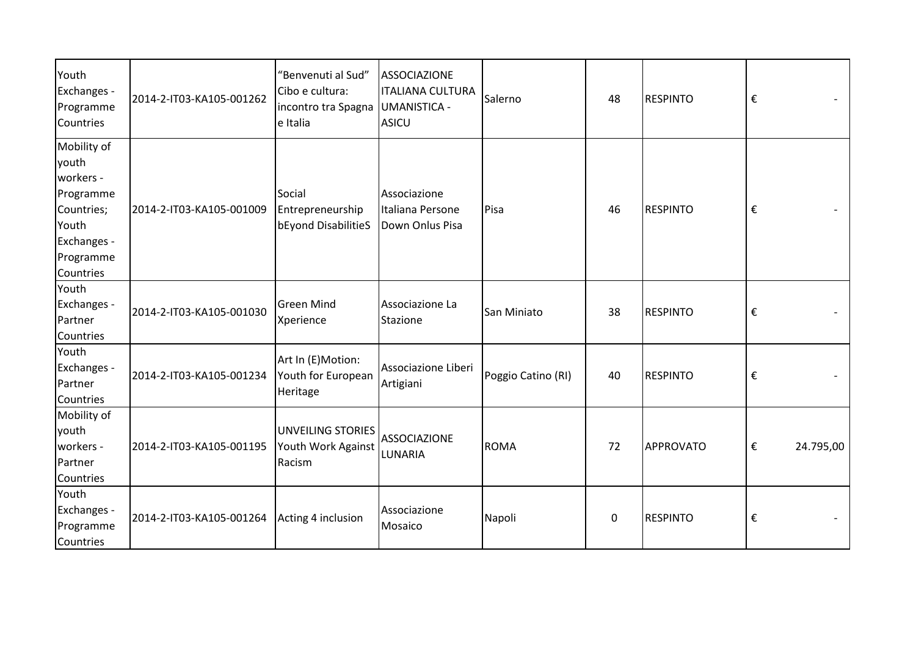| Youth<br>Exchanges -<br>Programme<br>Countries                                                                 | 2014-2-IT03-KA105-001262 | "Benvenuti al Sud"<br>Cibo e cultura:<br>incontro tra Spagna<br>e Italia | <b>ASSOCIAZIONE</b><br><b>ITALIANA CULTURA</b><br><b>UMANISTICA -</b><br><b>ASICU</b> | Salerno            | 48           | <b>RESPINTO</b> | €                       |           |
|----------------------------------------------------------------------------------------------------------------|--------------------------|--------------------------------------------------------------------------|---------------------------------------------------------------------------------------|--------------------|--------------|-----------------|-------------------------|-----------|
| Mobility of<br>youth<br>workers -<br>Programme<br>Countries;<br>Youth<br>Exchanges -<br>Programme<br>Countries | 2014-2-IT03-KA105-001009 | Social<br>Entrepreneurship<br>bEyond DisabilitieS                        | Associazione<br>Italiana Persone<br>Down Onlus Pisa                                   | Pisa               | 46           | <b>RESPINTO</b> | €                       |           |
| Youth<br>Exchanges -<br>Partner<br>Countries                                                                   | 2014-2-IT03-KA105-001030 | <b>Green Mind</b><br>Xperience                                           | Associazione La<br>Stazione                                                           | San Miniato        | 38           | <b>RESPINTO</b> | $\boldsymbol{\epsilon}$ |           |
| Youth<br>Exchanges -<br>Partner<br>Countries                                                                   | 2014-2-IT03-KA105-001234 | Art In (E)Motion:<br>Youth for European<br>Heritage                      | Associazione Liberi<br>Artigiani                                                      | Poggio Catino (RI) | 40           | <b>RESPINTO</b> | €                       |           |
| Mobility of<br>youth<br>workers -<br>Partner<br>Countries                                                      | 2014-2-IT03-KA105-001195 | <b>UNVEILING STORIES</b><br>Youth Work Against<br>Racism                 | <b>ASSOCIAZIONE</b><br>LUNARIA                                                        | <b>ROMA</b>        | 72           | APPROVATO       | €                       | 24.795,00 |
| Youth<br>Exchanges -<br>Programme<br>Countries                                                                 | 2014-2-IT03-KA105-001264 | Acting 4 inclusion                                                       | Associazione<br>Mosaico                                                               | Napoli             | $\mathbf{0}$ | <b>RESPINTO</b> | €                       |           |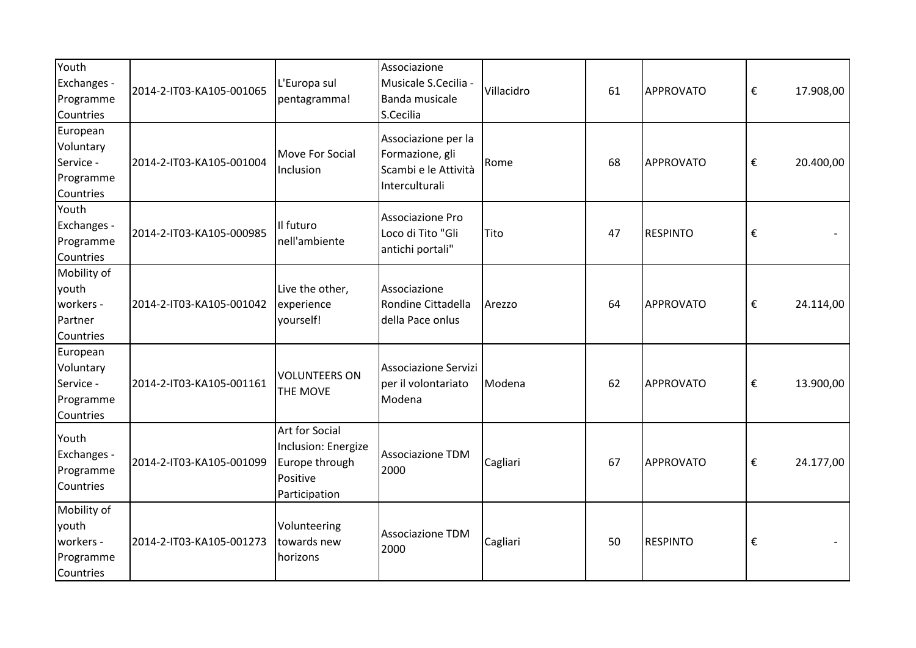| Youth<br>Exchanges -<br>Programme<br>Countries               | 2014-2-IT03-KA105-001065 | L'Europa sul<br>pentagramma!                                                                | Associazione<br>Musicale S.Cecilia -<br><b>Banda musicale</b><br>S.Cecilia       | Villacidro | 61 | APPROVATO        | €                       | 17.908,00 |
|--------------------------------------------------------------|--------------------------|---------------------------------------------------------------------------------------------|----------------------------------------------------------------------------------|------------|----|------------------|-------------------------|-----------|
| European<br>Voluntary<br>Service -<br>Programme<br>Countries | 2014-2-IT03-KA105-001004 | Move For Social<br>Inclusion                                                                | Associazione per la<br>Formazione, gli<br>Scambi e le Attività<br>Interculturali | Rome       | 68 | APPROVATO        | $\boldsymbol{\epsilon}$ | 20.400,00 |
| Youth<br>Exchanges -<br>Programme<br>Countries               | 2014-2-IT03-KA105-000985 | Il futuro<br>nell'ambiente                                                                  | Associazione Pro<br>Loco di Tito "Gli<br>antichi portali"                        | Tito       | 47 | <b>RESPINTO</b>  | €                       |           |
| Mobility of<br>youth<br>workers -<br>Partner<br>Countries    | 2014-2-IT03-KA105-001042 | Live the other,<br>experience<br>yourself!                                                  | Associazione<br>Rondine Cittadella<br>della Pace onlus                           | Arezzo     | 64 | <b>APPROVATO</b> | $\boldsymbol{\epsilon}$ | 24.114,00 |
| European<br>Voluntary<br>Service -<br>Programme<br>Countries | 2014-2-IT03-KA105-001161 | <b>VOLUNTEERS ON</b><br>THE MOVE                                                            | <b>Associazione Servizi</b><br>per il volontariato<br>Modena                     | Modena     | 62 | APPROVATO        | €                       | 13.900,00 |
| Youth<br>Exchanges -<br>Programme<br>Countries               | 2014-2-IT03-KA105-001099 | <b>Art for Social</b><br>Inclusion: Energize<br>Europe through<br>Positive<br>Participation | Associazione TDM<br>2000                                                         | Cagliari   | 67 | APPROVATO        | €                       | 24.177,00 |
| Mobility of<br>youth<br>workers -<br>Programme<br>Countries  | 2014-2-IT03-KA105-001273 | Volunteering<br>towards new<br>horizons                                                     | <b>Associazione TDM</b><br>2000                                                  | Cagliari   | 50 | <b>RESPINTO</b>  | €                       |           |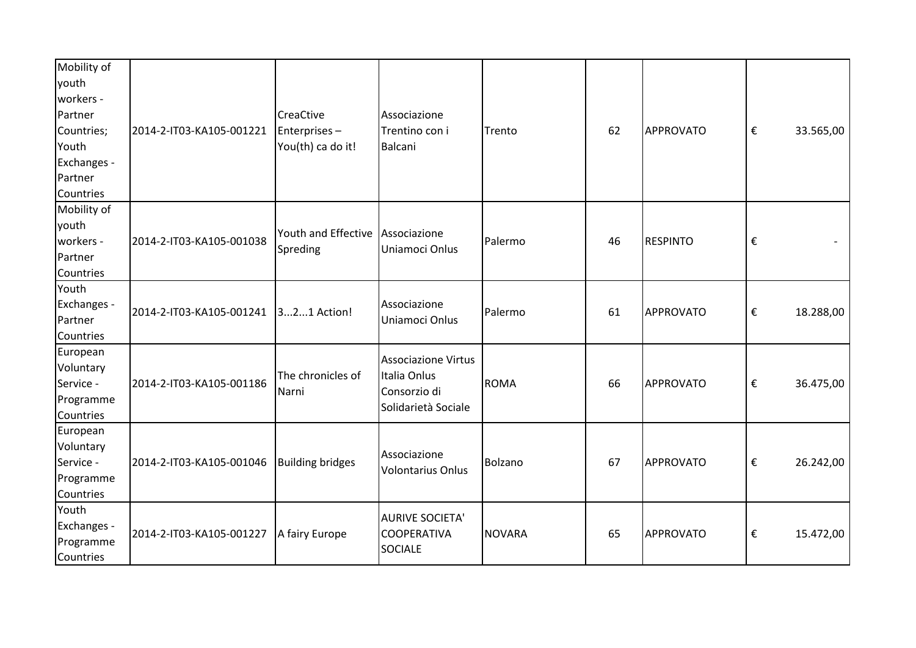| Mobility of |                          |                         |                          |             |    |                  |                         |           |
|-------------|--------------------------|-------------------------|--------------------------|-------------|----|------------------|-------------------------|-----------|
| youth       |                          |                         |                          |             |    |                  |                         |           |
| workers -   |                          |                         |                          |             |    |                  |                         |           |
| Partner     |                          | <b>CreaCtive</b>        | Associazione             |             |    |                  |                         |           |
| Countries;  | 2014-2-IT03-KA105-001221 | Enterprises-            | Trentino con i           | Trento      | 62 | APPROVATO        | $\boldsymbol{\epsilon}$ | 33.565,00 |
| Youth       |                          | You(th) ca do it!       | <b>Balcani</b>           |             |    |                  |                         |           |
| Exchanges - |                          |                         |                          |             |    |                  |                         |           |
| Partner     |                          |                         |                          |             |    |                  |                         |           |
| Countries   |                          |                         |                          |             |    |                  |                         |           |
| Mobility of |                          |                         |                          |             |    |                  |                         |           |
| youth       |                          | Youth and Effective     |                          |             |    |                  |                         |           |
| workers -   | 2014-2-IT03-KA105-001038 |                         | Associazione             | Palermo     | 46 | <b>RESPINTO</b>  | €                       |           |
| Partner     |                          | Spreding                | Uniamoci Onlus           |             |    |                  |                         |           |
| Countries   |                          |                         |                          |             |    |                  |                         |           |
| Youth       |                          |                         |                          |             |    |                  |                         |           |
| Exchanges - | 2014-2-IT03-KA105-001241 |                         | Associazione             | Palermo     | 61 |                  |                         |           |
| Partner     |                          | 321 Action!             | Uniamoci Onlus           |             |    | APPROVATO        | €                       | 18.288,00 |
| Countries   |                          |                         |                          |             |    |                  |                         |           |
| European    |                          |                         | Associazione Virtus      |             |    |                  |                         |           |
| Voluntary   |                          |                         | Italia Onlus             |             |    |                  |                         |           |
| Service -   | 2014-2-IT03-KA105-001186 | The chronicles of       | Consorzio di             | <b>ROMA</b> | 66 | APPROVATO        | €                       | 36.475,00 |
| Programme   |                          | Narni                   |                          |             |    |                  |                         |           |
| Countries   |                          |                         | Solidarietà Sociale      |             |    |                  |                         |           |
| European    |                          |                         |                          |             |    |                  |                         |           |
| Voluntary   |                          |                         | Associazione             |             |    |                  |                         |           |
| Service -   | 2014-2-IT03-KA105-001046 | <b>Building bridges</b> | <b>Volontarius Onlus</b> | Bolzano     | 67 | APPROVATO        | €                       | 26.242,00 |
| Programme   |                          |                         |                          |             |    |                  |                         |           |
| Countries   |                          |                         |                          |             |    |                  |                         |           |
| Youth       |                          |                         | <b>AURIVE SOCIETA'</b>   |             |    |                  |                         |           |
| Exchanges - | 2014-2-IT03-KA105-001227 | A fairy Europe          | <b>COOPERATIVA</b>       | NOVARA      | 65 | <b>APPROVATO</b> | €                       | 15.472,00 |
| Programme   |                          |                         | <b>SOCIALE</b>           |             |    |                  |                         |           |
| Countries   |                          |                         |                          |             |    |                  |                         |           |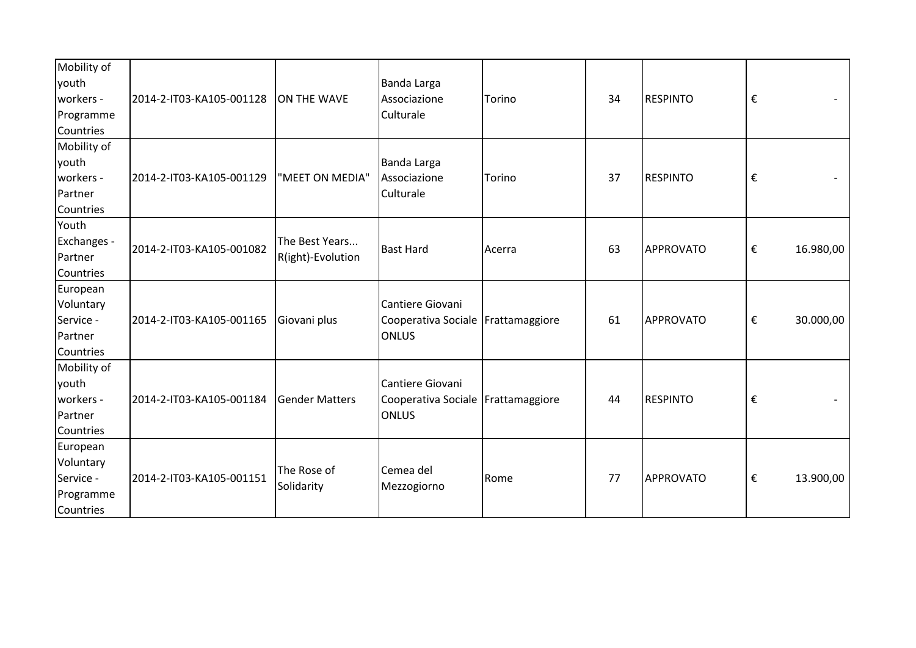| Mobility of<br>youth<br>workers -<br>Programme<br>Countries  | 2014-2-IT03-KA105-001128 | ON THE WAVE                         | Banda Larga<br>Associazione<br>Culturale                                 | Torino | 34 | <b>RESPINTO</b>  | $\boldsymbol{\epsilon}$ |           |
|--------------------------------------------------------------|--------------------------|-------------------------------------|--------------------------------------------------------------------------|--------|----|------------------|-------------------------|-----------|
| Mobility of<br>youth<br>workers -<br>Partner<br>Countries    | 2014-2-IT03-KA105-001129 | "MEET ON MEDIA"                     | Banda Larga<br>Associazione<br>Culturale                                 | Torino | 37 | <b>RESPINTO</b>  | €                       |           |
| Youth<br>Exchanges -<br>Partner<br>Countries                 | 2014-2-IT03-KA105-001082 | The Best Years<br>R(ight)-Evolution | <b>Bast Hard</b>                                                         | Acerra | 63 | APPROVATO        | €                       | 16.980,00 |
| European<br>Voluntary<br>Service -<br>Partner<br>Countries   | 2014-2-IT03-KA105-001165 | Giovani plus                        | Cantiere Giovani<br>Cooperativa Sociale   Frattamaggiore<br><b>ONLUS</b> |        | 61 | <b>APPROVATO</b> | €                       | 30.000,00 |
| Mobility of<br>youth<br>workers -<br>Partner<br>Countries    | 2014-2-IT03-KA105-001184 | <b>Gender Matters</b>               | Cantiere Giovani<br>Cooperativa Sociale Frattamaggiore<br><b>ONLUS</b>   |        | 44 | <b>RESPINTO</b>  | €                       |           |
| European<br>Voluntary<br>Service -<br>Programme<br>Countries | 2014-2-IT03-KA105-001151 | The Rose of<br>Solidarity           | Cemea del<br>Mezzogiorno                                                 | Rome   | 77 | APPROVATO        | €                       | 13.900,00 |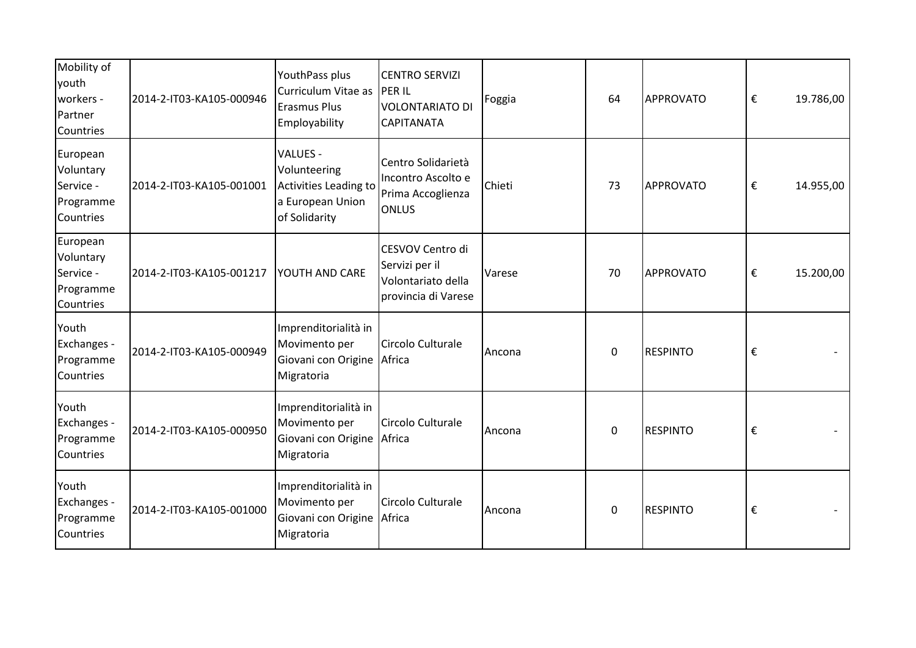| Mobility of<br>youth<br>workers -<br>Partner<br>Countries    | 2014-2-IT03-KA105-000946 | YouthPass plus<br>Curriculum Vitae as<br><b>Erasmus Plus</b><br>Employability          | <b>CENTRO SERVIZI</b><br><b>PERIL</b><br><b>VOLONTARIATO DI</b><br><b>CAPITANATA</b> | Foggia | 64          | APPROVATO       | €                       | 19.786,00 |
|--------------------------------------------------------------|--------------------------|----------------------------------------------------------------------------------------|--------------------------------------------------------------------------------------|--------|-------------|-----------------|-------------------------|-----------|
| European<br>Voluntary<br>Service -<br>Programme<br>Countries | 2014-2-IT03-KA105-001001 | VALUES -<br>Volunteering<br>Activities Leading to<br>a European Union<br>of Solidarity | Centro Solidarietà<br>Incontro Ascolto e<br>Prima Accoglienza<br><b>ONLUS</b>        | Chieti | 73          | APPROVATO       | €                       | 14.955,00 |
| European<br>Voluntary<br>Service -<br>Programme<br>Countries | 2014-2-IT03-KA105-001217 | <b>YOUTH AND CARE</b>                                                                  | CESVOV Centro di<br>Servizi per il<br>Volontariato della<br>provincia di Varese      | Varese | 70          | APPROVATO       | $\boldsymbol{\epsilon}$ | 15.200,00 |
| Youth<br>Exchanges -<br>Programme<br>Countries               | 2014-2-IT03-KA105-000949 | Imprenditorialità in<br>Movimento per<br>Giovani con Origine<br>Migratoria             | Circolo Culturale<br>Africa                                                          | Ancona | $\mathbf 0$ | <b>RESPINTO</b> | €                       |           |
| Youth<br>Exchanges -<br>Programme<br>Countries               | 2014-2-IT03-KA105-000950 | Imprenditorialità in<br>Movimento per<br>Giovani con Origine<br>Migratoria             | Circolo Culturale<br>Africa                                                          | Ancona | $\mathbf 0$ | <b>RESPINTO</b> | €                       |           |
| Youth<br>Exchanges -<br>Programme<br>Countries               | 2014-2-IT03-KA105-001000 | Imprenditorialità in<br>Movimento per<br>Giovani con Origine<br>Migratoria             | Circolo Culturale<br>Africa                                                          | Ancona | 0           | <b>RESPINTO</b> | €                       |           |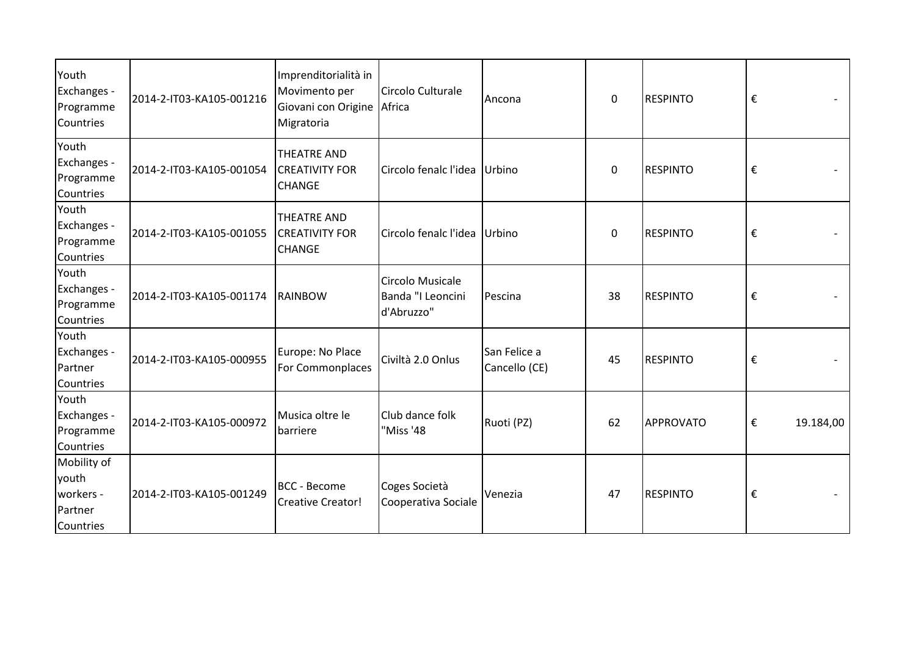| Youth<br>Exchanges -<br>Programme<br>Countries            | 2014-2-IT03-KA105-001216 | Imprenditorialità in<br>Movimento per<br>Giovani con Origine<br>Migratoria | Circolo Culturale<br>Africa                         | Ancona                        | 0  | <b>RESPINTO</b> | €                       |
|-----------------------------------------------------------|--------------------------|----------------------------------------------------------------------------|-----------------------------------------------------|-------------------------------|----|-----------------|-------------------------|
| Youth<br>Exchanges -<br>Programme<br>Countries            | 2014-2-IT03-KA105-001054 | <b>THEATRE AND</b><br><b>CREATIVITY FOR</b><br><b>CHANGE</b>               | Circolo fenalc l'idea Urbino                        |                               | 0  | <b>RESPINTO</b> | €                       |
| Youth<br>Exchanges -<br>Programme<br>Countries            | 2014-2-IT03-KA105-001055 | <b>THEATRE AND</b><br><b>CREATIVITY FOR</b><br><b>CHANGE</b>               | Circolo fenalc l'idea Urbino                        |                               | 0  | <b>RESPINTO</b> | €                       |
| Youth<br>Exchanges -<br>Programme<br>Countries            | 2014-2-IT03-KA105-001174 | RAINBOW                                                                    | Circolo Musicale<br>Banda "I Leoncini<br>d'Abruzzo" | Pescina                       | 38 | <b>RESPINTO</b> | $\boldsymbol{\epsilon}$ |
| Youth<br>Exchanges -<br>Partner<br>Countries              | 2014-2-IT03-KA105-000955 | Europe: No Place<br>For Commonplaces                                       | Civiltà 2.0 Onlus                                   | San Felice a<br>Cancello (CE) | 45 | <b>RESPINTO</b> | €                       |
| Youth<br>Exchanges -<br>Programme<br>Countries            | 2014-2-IT03-KA105-000972 | Musica oltre le<br>barriere                                                | Club dance folk<br>"Miss '48                        | Ruoti (PZ)                    | 62 | APPROVATO       | €<br>19.184,00          |
| Mobility of<br>youth<br>workers -<br>Partner<br>Countries | 2014-2-IT03-KA105-001249 | <b>BCC</b> - Become<br>Creative Creator!                                   | Coges Società<br>Cooperativa Sociale                | Venezia                       | 47 | <b>RESPINTO</b> | €                       |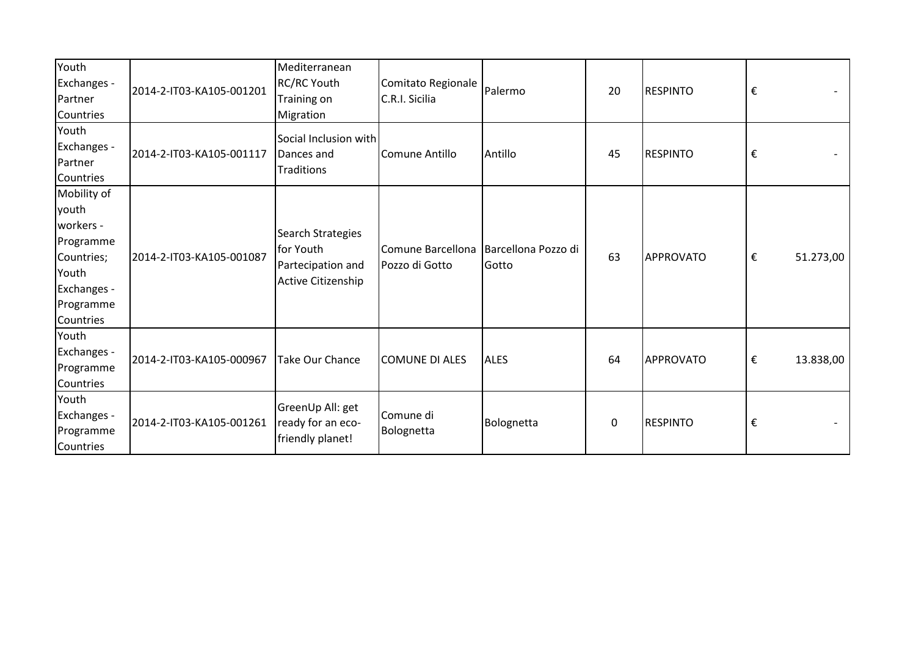| Youth<br>Exchanges -<br>Partner<br>Countries                                                                   | 2014-2-IT03-KA105-001201 | Mediterranean<br>RC/RC Youth<br>Training on<br>Migration                  | Comitato Regionale<br>C.R.I. Sicilia | Palermo                      | 20 | <b>RESPINTO</b> | $\boldsymbol{\epsilon}$ |           |
|----------------------------------------------------------------------------------------------------------------|--------------------------|---------------------------------------------------------------------------|--------------------------------------|------------------------------|----|-----------------|-------------------------|-----------|
| Youth<br>Exchanges -<br>Partner<br>Countries                                                                   | 2014-2-IT03-KA105-001117 | Social Inclusion with<br>Dances and<br><b>Traditions</b>                  | Comune Antillo                       | Antillo                      | 45 | <b>RESPINTO</b> | €                       |           |
| Mobility of<br>youth<br>workers -<br>Programme<br>Countries;<br>Youth<br>Exchanges -<br>Programme<br>Countries | 2014-2-IT03-KA105-001087 | Search Strategies<br>for Youth<br>Partecipation and<br>Active Citizenship | Comune Barcellona<br>Pozzo di Gotto  | Barcellona Pozzo di<br>Gotto | 63 | APPROVATO       | €                       | 51.273,00 |
| Youth<br>Exchanges -<br>Programme<br>Countries                                                                 | 2014-2-IT03-KA105-000967 | <b>Take Our Chance</b>                                                    | <b>COMUNE DI ALES</b>                | <b>ALES</b>                  | 64 | APPROVATO       | €                       | 13.838,00 |
| Youth<br>Exchanges -<br>Programme<br>Countries                                                                 | 2014-2-IT03-KA105-001261 | GreenUp All: get<br>ready for an eco-<br>friendly planet!                 | Comune di<br>Bolognetta              | Bolognetta                   | 0  | <b>RESPINTO</b> | $\boldsymbol{\epsilon}$ |           |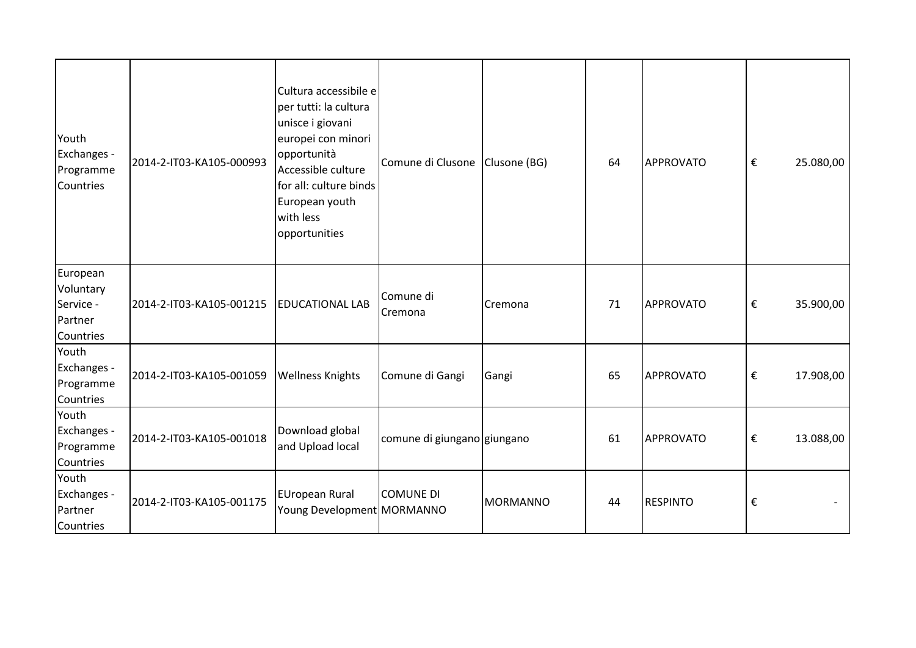| Youth<br>Exchanges -<br>Programme<br>Countries             | 2014-2-IT03-KA105-000993 | Cultura accessibile e<br>per tutti: la cultura<br>unisce i giovani<br>europei con minori<br>opportunità<br>Accessible culture<br>for all: culture binds<br>European youth<br>with less<br>opportunities | Comune di Clusone           | Clusone (BG)    | 64 | <b>APPROVATO</b> | $\boldsymbol{\epsilon}$ | 25.080,00 |
|------------------------------------------------------------|--------------------------|---------------------------------------------------------------------------------------------------------------------------------------------------------------------------------------------------------|-----------------------------|-----------------|----|------------------|-------------------------|-----------|
| European<br>Voluntary<br>Service -<br>Partner<br>Countries | 2014-2-IT03-KA105-001215 | <b>EDUCATIONAL LAB</b>                                                                                                                                                                                  | Comune di<br>Cremona        | Cremona         | 71 | <b>APPROVATO</b> | $\boldsymbol{\epsilon}$ | 35.900,00 |
| Youth<br>Exchanges -<br>Programme<br>Countries             | 2014-2-IT03-KA105-001059 | <b>Wellness Knights</b>                                                                                                                                                                                 | Comune di Gangi             | Gangi           | 65 | <b>APPROVATO</b> | $\boldsymbol{\epsilon}$ | 17.908,00 |
| Youth<br>Exchanges -<br>Programme<br>Countries             | 2014-2-IT03-KA105-001018 | Download global<br>and Upload local                                                                                                                                                                     | comune di giungano giungano |                 | 61 | <b>APPROVATO</b> | $\boldsymbol{\epsilon}$ | 13.088,00 |
| Youth<br>Exchanges -<br>Partner<br>Countries               | 2014-2-IT03-KA105-001175 | EUropean Rural<br>Young Development MORMANNO                                                                                                                                                            | <b>COMUNE DI</b>            | <b>MORMANNO</b> | 44 | <b>RESPINTO</b>  | €                       |           |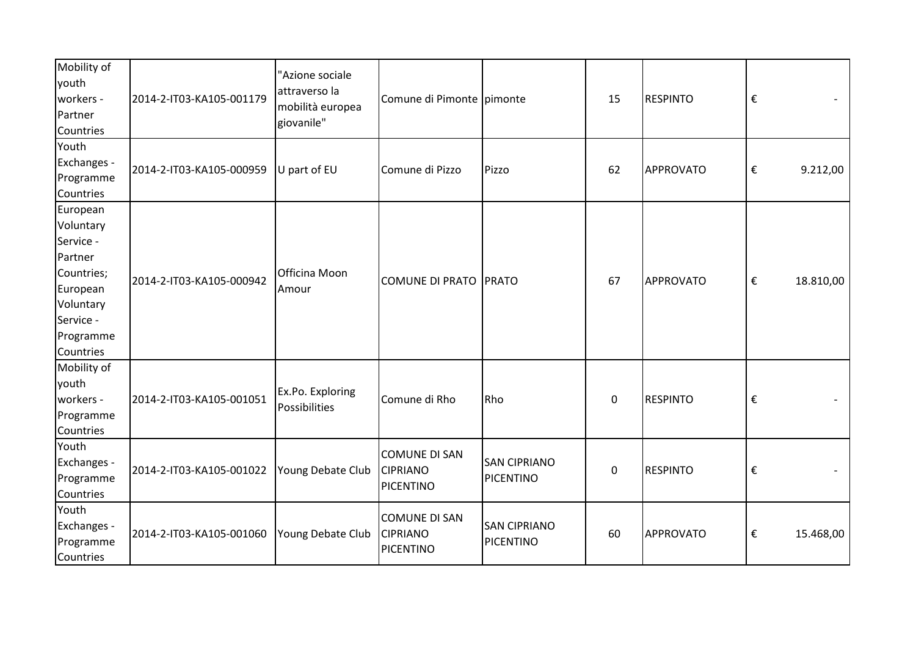| Mobility of<br>youth<br>workers -<br>Partner<br>Countries                                                                   | 2014-2-IT03-KA105-001179 | "Azione sociale<br>attraverso la<br>mobilità europea<br>giovanile" | Comune di Pimonte pimonte                                   |                                         | 15          | <b>RESPINTO</b>  | $\boldsymbol{\epsilon}$             |
|-----------------------------------------------------------------------------------------------------------------------------|--------------------------|--------------------------------------------------------------------|-------------------------------------------------------------|-----------------------------------------|-------------|------------------|-------------------------------------|
| Youth<br>Exchanges -<br>Programme<br>Countries                                                                              | 2014-2-IT03-KA105-000959 | U part of EU                                                       | Comune di Pizzo                                             | Pizzo                                   | 62          | <b>APPROVATO</b> | $\boldsymbol{\epsilon}$<br>9.212,00 |
| European<br>Voluntary<br>Service -<br>Partner<br>Countries;<br>European<br>Voluntary<br>Service -<br>Programme<br>Countries | 2014-2-IT03-KA105-000942 | Officina Moon<br>Amour                                             | COMUNE DI PRATO PRATO                                       |                                         | 67          | <b>APPROVATO</b> | €<br>18.810,00                      |
| Mobility of<br>youth<br>workers -<br>Programme<br>Countries                                                                 | 2014-2-IT03-KA105-001051 | Ex.Po. Exploring<br>Possibilities                                  | Comune di Rho                                               | Rho                                     | $\mathbf 0$ | <b>RESPINTO</b>  | $\boldsymbol{\epsilon}$             |
| Youth<br>Exchanges -<br>Programme<br>Countries                                                                              | 2014-2-IT03-KA105-001022 | Young Debate Club                                                  | <b>COMUNE DI SAN</b><br><b>CIPRIANO</b><br><b>PICENTINO</b> | <b>SAN CIPRIANO</b><br>PICENTINO        | $\pmb{0}$   | <b>RESPINTO</b>  | $\boldsymbol{\epsilon}$             |
| Youth<br>Exchanges -<br>Programme<br>Countries                                                                              | 2014-2-IT03-KA105-001060 | Young Debate Club                                                  | <b>COMUNE DI SAN</b><br><b>CIPRIANO</b><br><b>PICENTINO</b> | <b>SAN CIPRIANO</b><br><b>PICENTINO</b> | 60          | <b>APPROVATO</b> | €<br>15.468,00                      |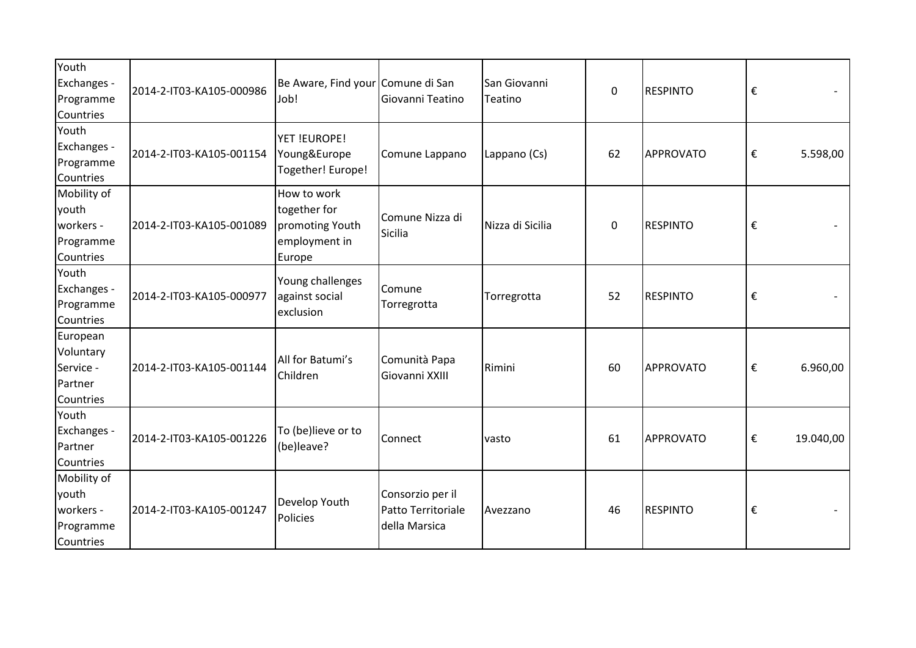| Youth<br>Exchanges -<br>Programme<br>Countries              | 2014-2-IT03-KA105-000986 | Be Aware, Find your Comune di San<br>Job!                                 | Giovanni Teatino                                        | San Giovanni<br>Teatino | $\mathbf 0$ | <b>RESPINTO</b>  | €                                   |  |
|-------------------------------------------------------------|--------------------------|---------------------------------------------------------------------------|---------------------------------------------------------|-------------------------|-------------|------------------|-------------------------------------|--|
| Youth<br>Exchanges -<br>Programme<br>Countries              | 2014-2-IT03-KA105-001154 | YET !EUROPE!<br>Young&Europe<br>Together! Europe!                         | Comune Lappano                                          | Lappano (Cs)            | 62          | APPROVATO        | $\boldsymbol{\epsilon}$<br>5.598,00 |  |
| Mobility of<br>youth<br>workers -<br>Programme<br>Countries | 2014-2-IT03-KA105-001089 | How to work<br>together for<br>promoting Youth<br>employment in<br>Europe | Comune Nizza di<br>Sicilia                              | Nizza di Sicilia        | $\mathbf 0$ | <b>RESPINTO</b>  | €                                   |  |
| Youth<br>Exchanges -<br>Programme<br>Countries              | 2014-2-IT03-KA105-000977 | Young challenges<br>against social<br>exclusion                           | Comune<br>Torregrotta                                   | Torregrotta             | 52          | <b>RESPINTO</b>  | €                                   |  |
| European<br>Voluntary<br>Service -<br>Partner<br>Countries  | 2014-2-IT03-KA105-001144 | All for Batumi's<br>Children                                              | Comunità Papa<br>Giovanni XXIII                         | Rimini                  | 60          | <b>APPROVATO</b> | €<br>6.960,00                       |  |
| Youth<br>Exchanges -<br>Partner<br>Countries                | 2014-2-IT03-KA105-001226 | To (be)lieve or to<br>(be)leave?                                          | Connect                                                 | vasto                   | 61          | APPROVATO        | €<br>19.040,00                      |  |
| Mobility of<br>youth<br>workers -<br>Programme<br>Countries | 2014-2-IT03-KA105-001247 | Develop Youth<br>Policies                                                 | Consorzio per il<br>Patto Territoriale<br>della Marsica | Avezzano                | 46          | <b>RESPINTO</b>  | €                                   |  |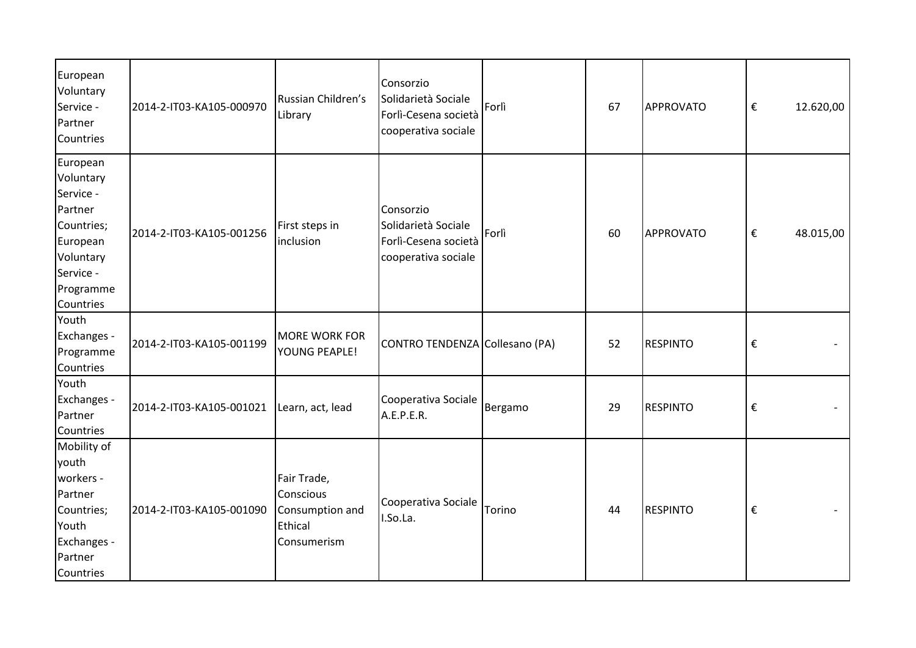| European<br>Voluntary<br>Service -<br>Partner<br>Countries                                                                  | 2014-2-IT03-KA105-000970 | Russian Children's<br>Library                                         | Consorzio<br>Solidarietà Sociale<br>Forlì-Cesena società<br>cooperativa sociale | Forlì   | 67 | APPROVATO       | €                       | 12.620,00 |
|-----------------------------------------------------------------------------------------------------------------------------|--------------------------|-----------------------------------------------------------------------|---------------------------------------------------------------------------------|---------|----|-----------------|-------------------------|-----------|
| European<br>Voluntary<br>Service -<br>Partner<br>Countries;<br>European<br>Voluntary<br>Service -<br>Programme<br>Countries | 2014-2-IT03-KA105-001256 | First steps in<br>inclusion                                           | Consorzio<br>Solidarietà Sociale<br>Forlì-Cesena società<br>cooperativa sociale | Forlì   | 60 | APPROVATO       | €                       | 48.015,00 |
| Youth<br>Exchanges -<br>Programme<br>Countries                                                                              | 2014-2-IT03-KA105-001199 | MORE WORK FOR<br>YOUNG PEAPLE!                                        | CONTRO TENDENZA Collesano (PA)                                                  |         | 52 | <b>RESPINTO</b> | €                       |           |
| Youth<br>Exchanges -<br>Partner<br>Countries                                                                                | 2014-2-IT03-KA105-001021 | Learn, act, lead                                                      | Cooperativa Sociale<br>A.E.P.E.R.                                               | Bergamo | 29 | <b>RESPINTO</b> | $\boldsymbol{\epsilon}$ |           |
| Mobility of<br>youth<br>workers -<br>Partner<br>Countries;<br>Youth<br>Exchanges -<br>Partner<br>Countries                  | 2014-2-IT03-KA105-001090 | Fair Trade,<br>Conscious<br>Consumption and<br>Ethical<br>Consumerism | Cooperativa Sociale<br>I.So.La.                                                 | Torino  | 44 | <b>RESPINTO</b> | €                       |           |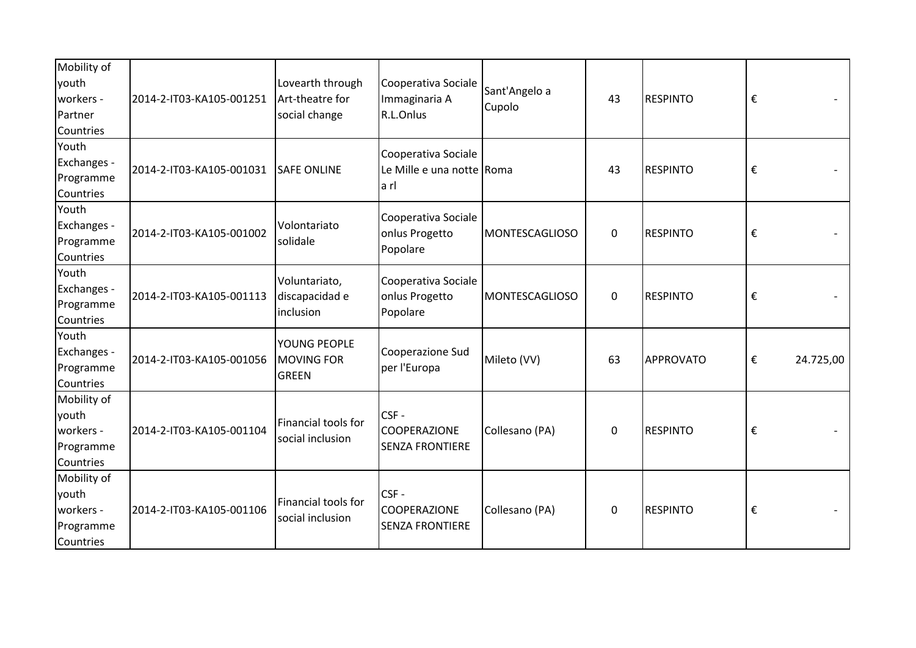| Mobility of<br>youth<br>workers -<br>Partner<br>Countries   | 2014-2-IT03-KA105-001251 | Lovearth through<br>Art-theatre for<br>social change | Cooperativa Sociale<br>Immaginaria A<br>R.L.Onlus         | Sant'Angelo a<br>Cupolo | 43          | <b>RESPINTO</b> | €                                    |
|-------------------------------------------------------------|--------------------------|------------------------------------------------------|-----------------------------------------------------------|-------------------------|-------------|-----------------|--------------------------------------|
| Youth<br>Exchanges -<br>Programme<br>Countries              | 2014-2-IT03-KA105-001031 | <b>SAFE ONLINE</b>                                   | Cooperativa Sociale<br>Le Mille e una notte Roma<br>la rl |                         | 43          | <b>RESPINTO</b> | €                                    |
| Youth<br>Exchanges -<br>Programme<br>Countries              | 2014-2-IT03-KA105-001002 | Volontariato<br>solidale                             | Cooperativa Sociale<br>onlus Progetto<br>Popolare         | MONTESCAGLIOSO          | $\mathbf 0$ | <b>RESPINTO</b> | €                                    |
| Youth<br>Exchanges -<br>Programme<br>Countries              | 2014-2-IT03-KA105-001113 | Voluntariato,<br>discapacidad e<br>inclusion         | Cooperativa Sociale<br>onlus Progetto<br>Popolare         | MONTESCAGLIOSO          | $\mathbf 0$ | <b>RESPINTO</b> | $\boldsymbol{\epsilon}$              |
| Youth<br>Exchanges -<br>Programme<br>Countries              | 2014-2-IT03-KA105-001056 | YOUNG PEOPLE<br><b>MOVING FOR</b><br><b>GREEN</b>    | Cooperazione Sud<br>per l'Europa                          | Mileto (VV)             | 63          | APPROVATO       | $\boldsymbol{\epsilon}$<br>24.725,00 |
| Mobility of<br>youth<br>workers -<br>Programme<br>Countries | 2014-2-IT03-KA105-001104 | Financial tools for<br>social inclusion              | CSF-<br><b>COOPERAZIONE</b><br><b>SENZA FRONTIERE</b>     | Collesano (PA)          | $\mathbf 0$ | <b>RESPINTO</b> | €                                    |
| Mobility of<br>youth<br>workers -<br>Programme<br>Countries | 2014-2-IT03-KA105-001106 | Financial tools for<br>social inclusion              | CSF-<br><b>COOPERAZIONE</b><br><b>SENZA FRONTIERE</b>     | Collesano (PA)          | 0           | <b>RESPINTO</b> | €                                    |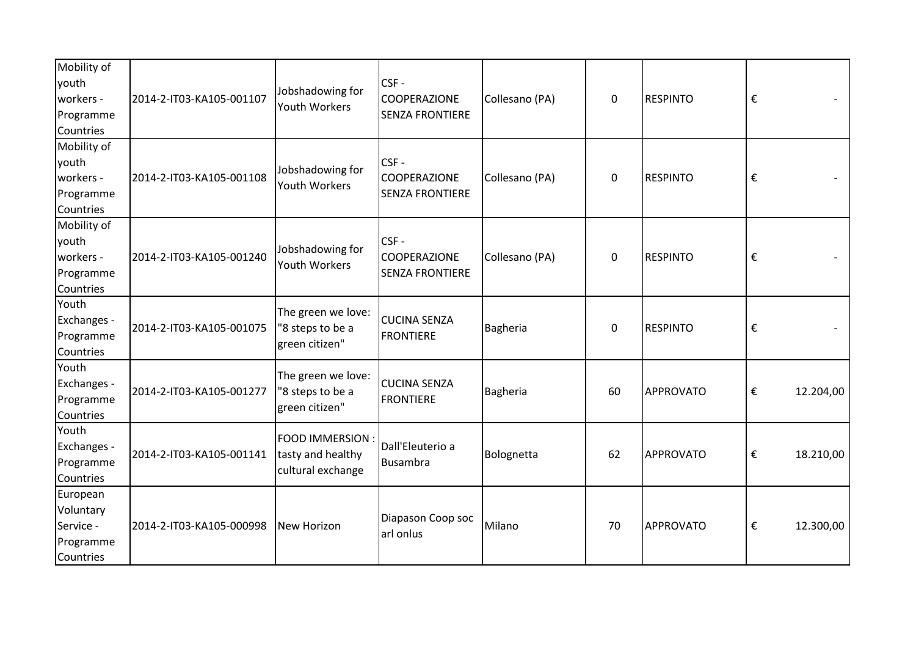| Mobility of<br>youth<br>workers -<br>Programme<br>Countries  | 2014-2-IT03-KA105-001107 | Jobshadowing for<br><b>Youth Workers</b>                         | CSF-<br>COOPERAZIONE<br><b>SENZA FRONTIERE</b> | Collesano (PA) | 0           | <b>RESPINTO</b>  | €                       |           |
|--------------------------------------------------------------|--------------------------|------------------------------------------------------------------|------------------------------------------------|----------------|-------------|------------------|-------------------------|-----------|
| Mobility of<br>youth<br>workers -<br>Programme<br>Countries  | 2014-2-IT03-KA105-001108 | Jobshadowing for<br>Youth Workers                                | CSF-<br>COOPERAZIONE<br><b>SENZA FRONTIERE</b> | Collesano (PA) | $\mathbf 0$ | <b>RESPINTO</b>  | €                       |           |
| Mobility of<br>youth<br>workers -<br>Programme<br>Countries  | 2014-2-IT03-KA105-001240 | Jobshadowing for<br><b>Youth Workers</b>                         | CSF-<br>COOPERAZIONE<br><b>SENZA FRONTIERE</b> | Collesano (PA) | 0           | <b>RESPINTO</b>  | €                       |           |
| Youth<br>Exchanges -<br>Programme<br>Countries               | 2014-2-IT03-KA105-001075 | The green we love:<br>"8 steps to be a<br>green citizen"         | <b>CUCINA SENZA</b><br><b>FRONTIERE</b>        | Bagheria       | $\mathbf 0$ | <b>RESPINTO</b>  | $\boldsymbol{\epsilon}$ |           |
| Youth<br>Exchanges -<br>Programme<br>Countries               | 2014-2-IT03-KA105-001277 | The green we love:<br>"8 steps to be a<br>green citizen"         | <b>CUCINA SENZA</b><br><b>FRONTIERE</b>        | Bagheria       | 60          | APPROVATO        | €                       | 12.204,00 |
| Youth<br>Exchanges -<br>Programme<br>Countries               | 2014-2-IT03-KA105-001141 | <b>FOOD IMMERSION:</b><br>tasty and healthy<br>cultural exchange | Dall'Eleuterio a<br>Busambra                   | Bolognetta     | 62          | <b>APPROVATO</b> | $\boldsymbol{\epsilon}$ | 18.210,00 |
| European<br>Voluntary<br>Service -<br>Programme<br>Countries | 2014-2-IT03-KA105-000998 | New Horizon                                                      | Diapason Coop soc<br>arl onlus                 | Milano         | 70          | APPROVATO        | €                       | 12.300,00 |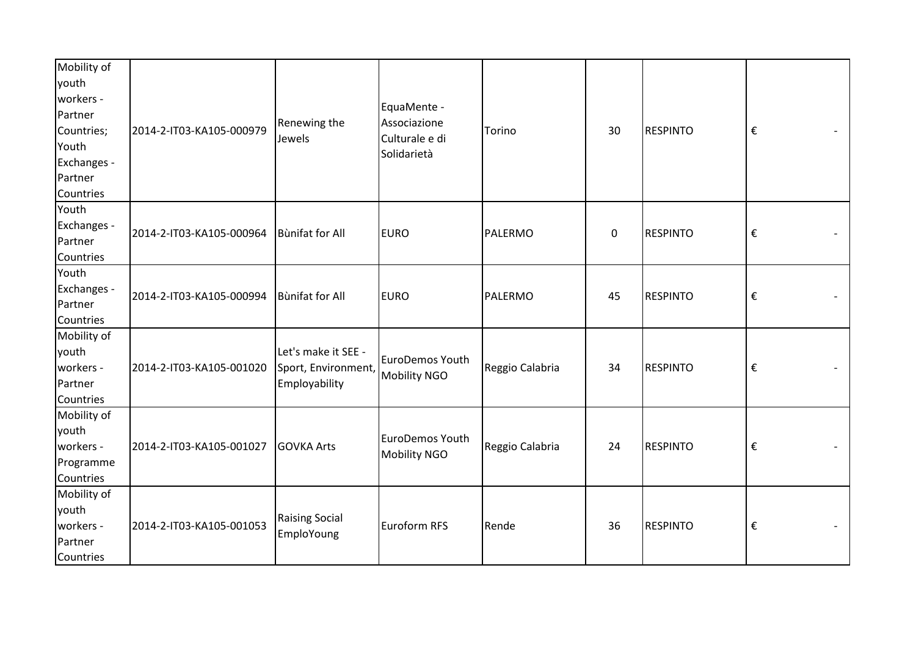| Mobility of<br>youth<br>workers -<br>Partner<br>Countries;<br>Youth<br>Exchanges -<br>Partner<br>Countries | 2014-2-IT03-KA105-000979 | Renewing the<br>Jewels                                      | EquaMente -<br>Associazione<br>Culturale e di<br>Solidarietà | Torino          | 30        | <b>RESPINTO</b> | $\boldsymbol{\epsilon}$ |
|------------------------------------------------------------------------------------------------------------|--------------------------|-------------------------------------------------------------|--------------------------------------------------------------|-----------------|-----------|-----------------|-------------------------|
| Youth<br>Exchanges -<br>Partner<br>Countries                                                               | 2014-2-IT03-KA105-000964 | Bùnifat for All                                             | <b>EURO</b>                                                  | PALERMO         | $\pmb{0}$ | <b>RESPINTO</b> | $\boldsymbol{\epsilon}$ |
| Youth<br>Exchanges -<br>Partner<br>Countries                                                               | 2014-2-IT03-KA105-000994 | Bùnifat for All                                             | <b>EURO</b>                                                  | PALERMO         | 45        | <b>RESPINTO</b> | $\boldsymbol{\epsilon}$ |
| Mobility of<br>youth<br>workers -<br>Partner<br>Countries                                                  | 2014-2-IT03-KA105-001020 | Let's make it SEE -<br>Sport, Environment,<br>Employability | <b>EuroDemos Youth</b><br>Mobility NGO                       | Reggio Calabria | 34        | <b>RESPINTO</b> | $\boldsymbol{\epsilon}$ |
| Mobility of<br>youth<br>workers -<br>Programme<br>Countries                                                | 2014-2-IT03-KA105-001027 | <b>GOVKA Arts</b>                                           | EuroDemos Youth<br>Mobility NGO                              | Reggio Calabria | 24        | <b>RESPINTO</b> | $\boldsymbol{\epsilon}$ |
| Mobility of<br>youth<br>workers -<br>Partner<br>Countries                                                  | 2014-2-IT03-KA105-001053 | <b>Raising Social</b><br>EmploYoung                         | Euroform RFS                                                 | Rende           | 36        | <b>RESPINTO</b> | $\boldsymbol{\epsilon}$ |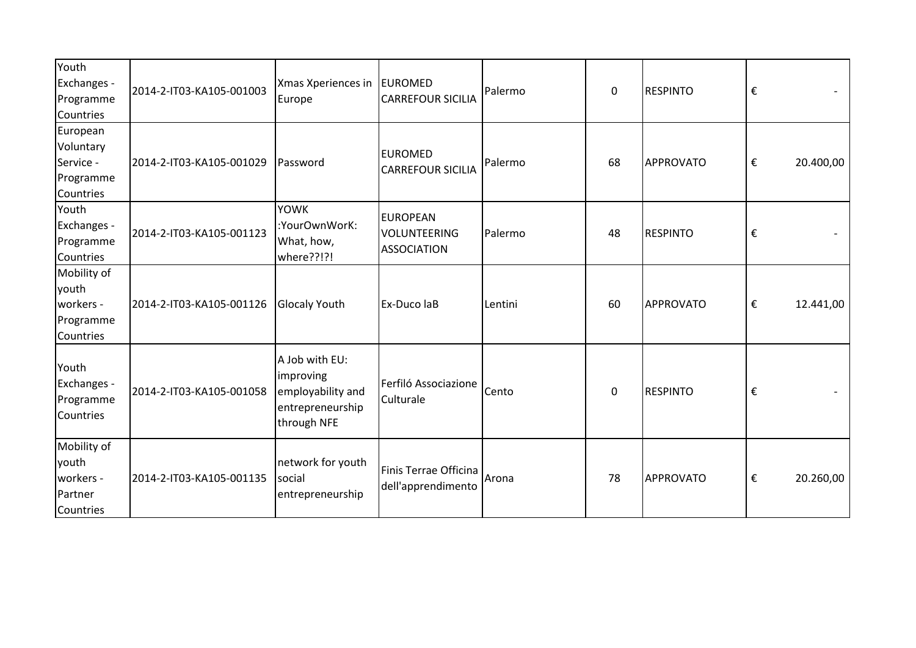| Youth<br>Exchanges -<br>Programme<br>Countries               | 2014-2-IT03-KA105-001003 | Xmas Xperiences in<br>Europe                                                        | <b>EUROMED</b><br><b>CARREFOUR SICILIA</b>                   | Palermo | $\mathbf 0$ | <b>RESPINTO</b> | €                       |           |
|--------------------------------------------------------------|--------------------------|-------------------------------------------------------------------------------------|--------------------------------------------------------------|---------|-------------|-----------------|-------------------------|-----------|
| European<br>Voluntary<br>Service -<br>Programme<br>Countries | 2014-2-IT03-KA105-001029 | Password                                                                            | <b>EUROMED</b><br><b>CARREFOUR SICILIA</b>                   | Palermo | 68          | APPROVATO       | $\boldsymbol{\epsilon}$ | 20.400,00 |
| Youth<br>Exchanges -<br>Programme<br>Countries               | 2014-2-IT03-KA105-001123 | <b>YOWK</b><br>:YourOwnWorK:<br>What, how,<br>where??!?!                            | <b>EUROPEAN</b><br><b>VOLUNTEERING</b><br><b>ASSOCIATION</b> | Palermo | 48          | <b>RESPINTO</b> | $\boldsymbol{\epsilon}$ |           |
| Mobility of<br>youth<br>workers -<br>Programme<br>Countries  | 2014-2-IT03-KA105-001126 | Glocaly Youth                                                                       | Ex-Duco laB                                                  | Lentini | 60          | APPROVATO       | €                       | 12.441,00 |
| Youth<br>Exchanges -<br>Programme<br>Countries               | 2014-2-IT03-KA105-001058 | A Job with EU:<br>improving<br>employability and<br>entrepreneurship<br>through NFE | Ferfiló Associazione<br>Culturale                            | Cento   | $\mathbf 0$ | <b>RESPINTO</b> | €                       |           |
| Mobility of<br>youth<br>workers -<br>Partner<br>Countries    | 2014-2-IT03-KA105-001135 | network for youth<br>social<br>entrepreneurship                                     | Finis Terrae Officina<br>dell'apprendimento                  | Arona   | 78          | APPROVATO       | €                       | 20.260,00 |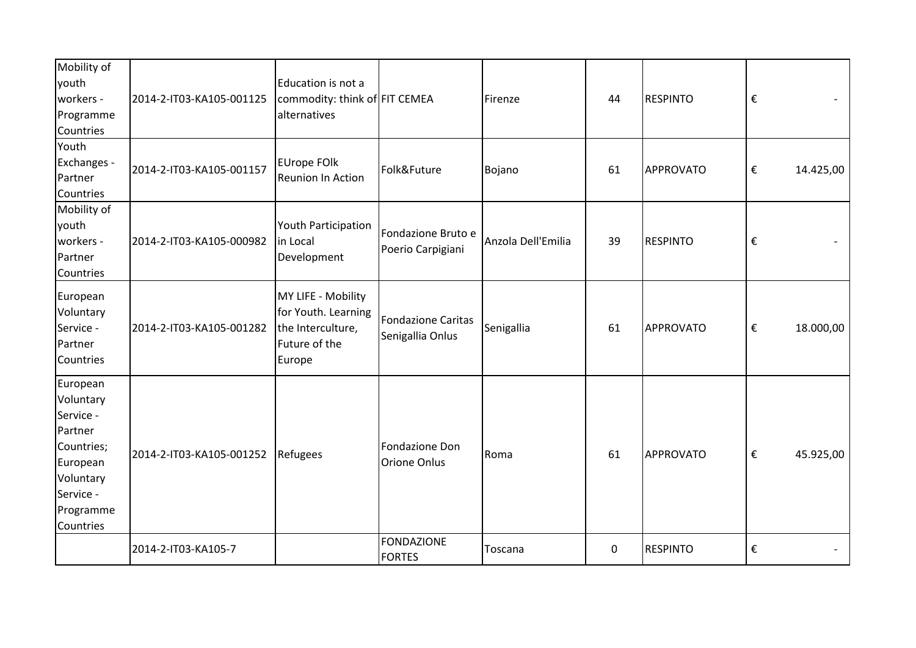| Mobility of<br>youth<br>workers -<br>Programme<br>Countries                                                                 | 2014-2-IT03-KA105-001125 | Education is not a<br>commodity: think of FIT CEMEA<br>alternatives                       |                                               | Firenze            | 44 | <b>RESPINTO</b> | €              |
|-----------------------------------------------------------------------------------------------------------------------------|--------------------------|-------------------------------------------------------------------------------------------|-----------------------------------------------|--------------------|----|-----------------|----------------|
| Youth<br>Exchanges -<br>Partner<br>Countries                                                                                | 2014-2-IT03-KA105-001157 | <b>EUrope FOIk</b><br>Reunion In Action                                                   | Folk&Future                                   | Bojano             | 61 | APPROVATO       | €<br>14.425,00 |
| Mobility of<br>youth<br>workers -<br>Partner<br>Countries                                                                   | 2014-2-IT03-KA105-000982 | Youth Participation<br>in Local<br>Development                                            | Fondazione Bruto e<br>Poerio Carpigiani       | Anzola Dell'Emilia | 39 | <b>RESPINTO</b> | €              |
| European<br>Voluntary<br>Service -<br>Partner<br>Countries                                                                  | 2014-2-IT03-KA105-001282 | MY LIFE - Mobility<br>for Youth. Learning<br>the Interculture,<br>Future of the<br>Europe | <b>Fondazione Caritas</b><br>Senigallia Onlus | Senigallia         | 61 | APPROVATO       | €<br>18.000,00 |
| European<br>Voluntary<br>Service -<br>Partner<br>Countries;<br>European<br>Voluntary<br>Service -<br>Programme<br>Countries | 2014-2-IT03-KA105-001252 | Refugees                                                                                  | Fondazione Don<br>Orione Onlus                | Roma               | 61 | APPROVATO       | €<br>45.925,00 |
|                                                                                                                             | 2014-2-IT03-KA105-7      |                                                                                           | <b>FONDAZIONE</b><br><b>FORTES</b>            | Toscana            | 0  | <b>RESPINTO</b> | €              |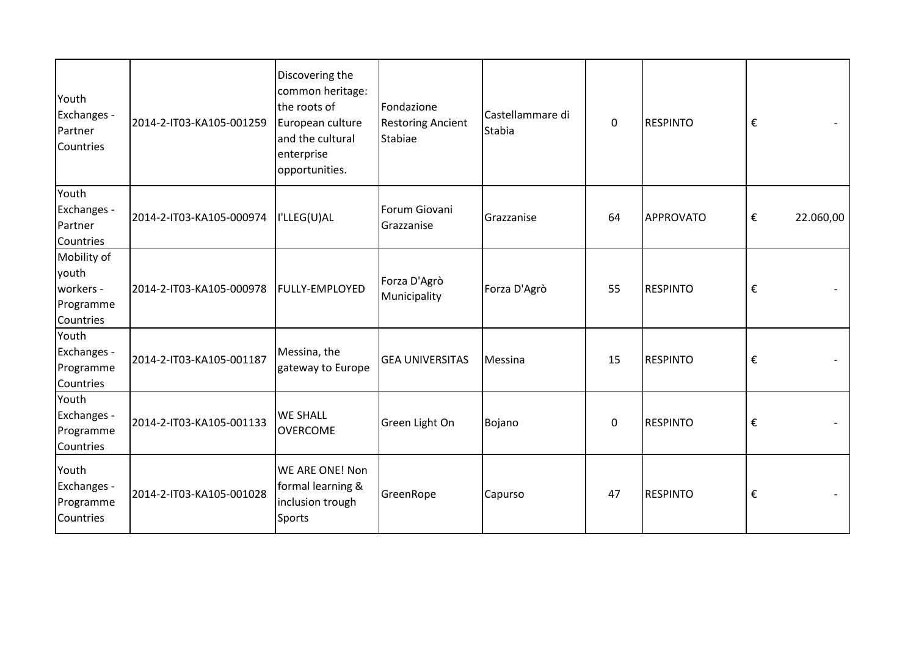| Youth<br>Exchanges -<br>Partner<br>Countries                | 2014-2-IT03-KA105-001259 | Discovering the<br>common heritage:<br>the roots of<br>European culture<br>and the cultural<br>enterprise<br>opportunities. | Fondazione<br><b>Restoring Ancient</b><br>Stabiae | Castellammare di<br>Stabia | $\Omega$ | <b>RESPINTO</b>  | €                       |           |
|-------------------------------------------------------------|--------------------------|-----------------------------------------------------------------------------------------------------------------------------|---------------------------------------------------|----------------------------|----------|------------------|-------------------------|-----------|
| Youth<br>Exchanges -<br>Partner<br>Countries                | 2014-2-IT03-KA105-000974 | I'LLEG(U)AL                                                                                                                 | Forum Giovani<br>Grazzanise                       | Grazzanise                 | 64       | <b>APPROVATO</b> | €                       | 22.060,00 |
| Mobility of<br>youth<br>workers -<br>Programme<br>Countries | 2014-2-IT03-KA105-000978 | <b>FULLY-EMPLOYED</b>                                                                                                       | Forza D'Agrò<br>Municipality                      | Forza D'Agrò               | 55       | <b>RESPINTO</b>  | €                       |           |
| Youth<br>Exchanges -<br>Programme<br>Countries              | 2014-2-IT03-KA105-001187 | Messina, the<br>gateway to Europe                                                                                           | <b>GEA UNIVERSITAS</b>                            | Messina                    | 15       | <b>RESPINTO</b>  | €                       |           |
| Youth<br>Exchanges -<br>Programme<br>Countries              | 2014-2-IT03-KA105-001133 | <b>WE SHALL</b><br><b>OVERCOME</b>                                                                                          | Green Light On                                    | Bojano                     | 0        | <b>RESPINTO</b>  | €                       |           |
| Youth<br>Exchanges -<br>Programme<br>Countries              | 2014-2-IT03-KA105-001028 | WE ARE ONE! Non<br>formal learning &<br>inclusion trough<br><b>Sports</b>                                                   | GreenRope                                         | Capurso                    | 47       | <b>RESPINTO</b>  | $\boldsymbol{\epsilon}$ |           |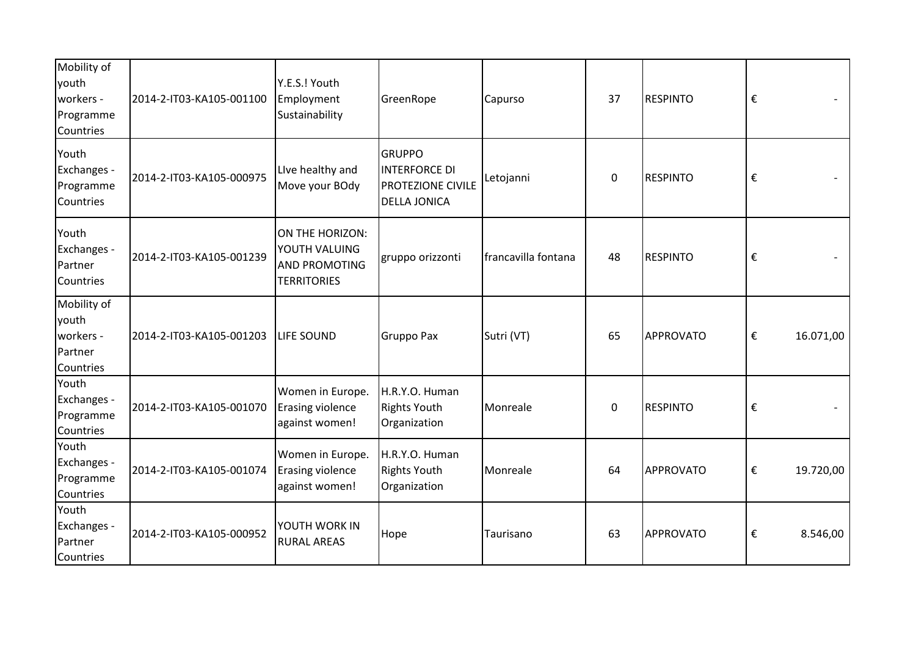| Mobility of<br>youth<br>workers -<br>Programme<br>Countries | 2014-2-IT03-KA105-001100 | Y.E.S.! Youth<br>Employment<br>Sustainability                                  | GreenRope                                                                         | Capurso             | 37          | <b>RESPINTO</b>  | €                       |           |
|-------------------------------------------------------------|--------------------------|--------------------------------------------------------------------------------|-----------------------------------------------------------------------------------|---------------------|-------------|------------------|-------------------------|-----------|
| Youth<br>Exchanges -<br>Programme<br>Countries              | 2014-2-IT03-KA105-000975 | Live healthy and<br>Move your BOdy                                             | <b>GRUPPO</b><br><b>INTERFORCE DI</b><br>PROTEZIONE CIVILE<br><b>DELLA JONICA</b> | Letojanni           | $\mathbf 0$ | <b>RESPINTO</b>  | €                       |           |
| Youth<br>Exchanges -<br>Partner<br>Countries                | 2014-2-IT03-KA105-001239 | ON THE HORIZON:<br>YOUTH VALUING<br><b>AND PROMOTING</b><br><b>TERRITORIES</b> | gruppo orizzonti                                                                  | francavilla fontana | 48          | <b>RESPINTO</b>  | €                       |           |
| Mobility of<br>youth<br>workers -<br>Partner<br>Countries   | 2014-2-IT03-KA105-001203 | <b>LIFE SOUND</b>                                                              | Gruppo Pax                                                                        | Sutri (VT)          | 65          | <b>APPROVATO</b> | €                       | 16.071,00 |
| Youth<br>Exchanges -<br>Programme<br>Countries              | 2014-2-IT03-KA105-001070 | Women in Europe.<br><b>Erasing violence</b><br>against women!                  | H.R.Y.O. Human<br><b>Rights Youth</b><br>Organization                             | Monreale            | 0           | <b>RESPINTO</b>  | €                       |           |
| Youth<br>Exchanges -<br>Programme<br>Countries              | 2014-2-IT03-KA105-001074 | Women in Europe.<br><b>Erasing violence</b><br>against women!                  | H.R.Y.O. Human<br><b>Rights Youth</b><br>Organization                             | Monreale            | 64          | APPROVATO        | $\boldsymbol{\epsilon}$ | 19.720,00 |
| Youth<br>Exchanges -<br>Partner<br>Countries                | 2014-2-IT03-KA105-000952 | YOUTH WORK IN<br><b>RURAL AREAS</b>                                            | Hope                                                                              | Taurisano           | 63          | APPROVATO        | €                       | 8.546,00  |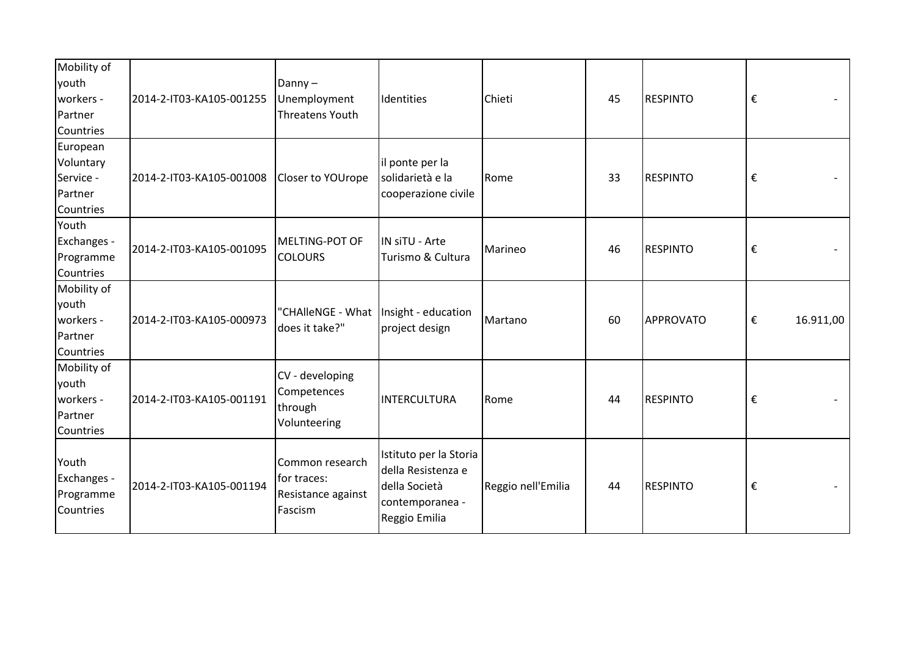| Mobility of<br>youth<br>workers -<br>Partner<br>Countries  | 2014-2-IT03-KA105-001255 | Danny $-$<br>Unemployment<br><b>Threatens Youth</b>             | Identities                                                                                        | Chieti             | 45 | <b>RESPINTO</b> | € |           |
|------------------------------------------------------------|--------------------------|-----------------------------------------------------------------|---------------------------------------------------------------------------------------------------|--------------------|----|-----------------|---|-----------|
| European<br>Voluntary<br>Service -<br>Partner<br>Countries | 2014-2-IT03-KA105-001008 | Closer to YOUrope                                               | il ponte per la<br>solidarietà e la<br>cooperazione civile                                        | Rome               | 33 | <b>RESPINTO</b> | € |           |
| Youth<br>Exchanges -<br>Programme<br>Countries             | 2014-2-IT03-KA105-001095 | MELTING-POT OF<br><b>COLOURS</b>                                | IN siTU - Arte<br>Turismo & Cultura                                                               | Marineo            | 46 | <b>RESPINTO</b> | € |           |
| Mobility of<br>youth<br>workers -<br>Partner<br>Countries  | 2014-2-IT03-KA105-000973 | "CHAlleNGE - What<br>does it take?"                             | Insight - education<br>project design                                                             | Martano            | 60 | APPROVATO       | € | 16.911,00 |
| Mobility of<br>youth<br>workers -<br>Partner<br>Countries  | 2014-2-IT03-KA105-001191 | CV - developing<br>Competences<br>through<br>Volunteering       | INTERCULTURA                                                                                      | Rome               | 44 | <b>RESPINTO</b> | € |           |
| Youth<br>Exchanges -<br>Programme<br>Countries             | 2014-2-IT03-KA105-001194 | Common research<br>for traces:<br>Resistance against<br>Fascism | Istituto per la Storia<br>della Resistenza e<br>della Società<br>contemporanea -<br>Reggio Emilia | Reggio nell'Emilia | 44 | <b>RESPINTO</b> | € |           |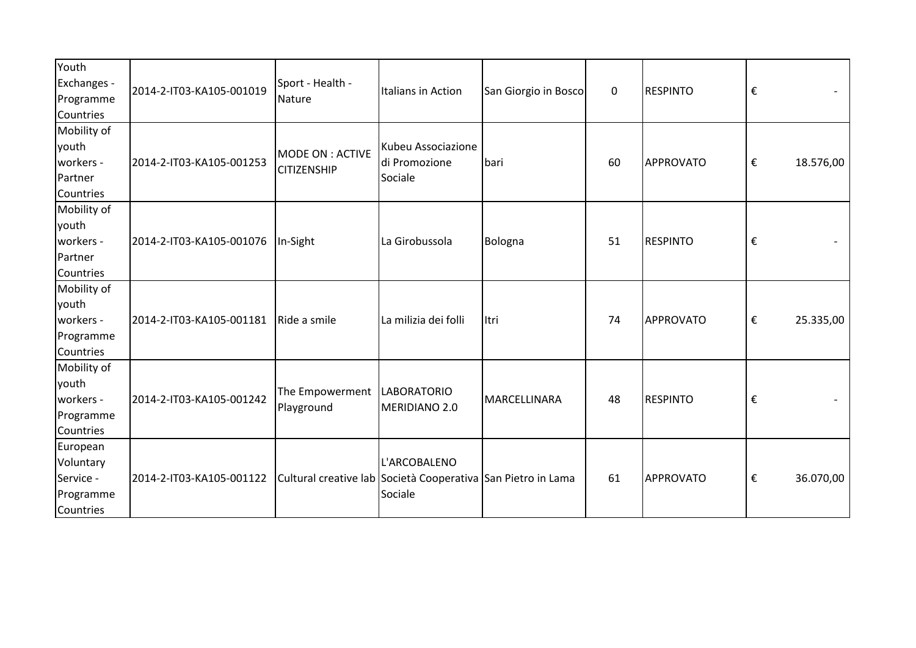| Youth<br>Exchanges -<br>Programme<br>Countries               | 2014-2-IT03-KA105-001019 | Sport - Health -<br>Nature                                   | Italians in Action                             | San Giorgio in Bosco | $\mathbf 0$ | <b>RESPINTO</b> | € |           |
|--------------------------------------------------------------|--------------------------|--------------------------------------------------------------|------------------------------------------------|----------------------|-------------|-----------------|---|-----------|
| Mobility of<br>youth<br>workers -<br>Partner<br>Countries    | 2014-2-IT03-KA105-001253 | MODE ON : ACTIVE<br><b>CITIZENSHIP</b>                       | Kubeu Associazione<br>di Promozione<br>Sociale | bari                 | 60          | APPROVATO       | € | 18.576,00 |
| Mobility of<br>youth<br>workers -<br>Partner<br>Countries    | 2014-2-IT03-KA105-001076 | In-Sight                                                     | La Girobussola                                 | Bologna              | 51          | <b>RESPINTO</b> | € |           |
| Mobility of<br>youth<br>workers -<br>Programme<br>Countries  | 2014-2-IT03-KA105-001181 | Ride a smile                                                 | La milizia dei folli                           | litri                | 74          | APPROVATO       | € | 25.335,00 |
| Mobility of<br>youth<br>workers -<br>Programme<br>Countries  | 2014-2-IT03-KA105-001242 | The Empowerment<br>Playground                                | <b>LABORATORIO</b><br>MERIDIANO 2.0            | MARCELLINARA         | 48          | <b>RESPINTO</b> | € |           |
| European<br>Voluntary<br>Service -<br>Programme<br>Countries | 2014-2-IT03-KA105-001122 | Cultural creative lab Società Cooperativa San Pietro in Lama | L'ARCOBALENO<br>Sociale                        |                      | 61          | APPROVATO       | € | 36.070,00 |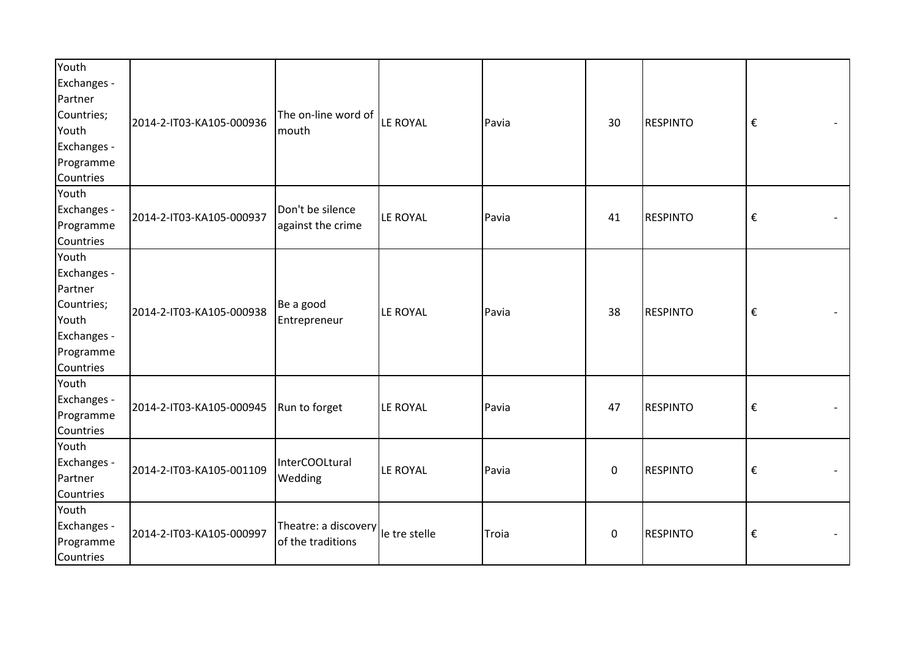| Youth                                                                                                    |                         |
|----------------------------------------------------------------------------------------------------------|-------------------------|
| Exchanges -                                                                                              |                         |
| Partner                                                                                                  |                         |
| Countries;<br>The on-line word of                                                                        |                         |
| LE ROYAL<br>2014-2-IT03-KA105-000936<br><b>RESPINTO</b><br>Pavia<br>30<br>Youth<br>mouth                 | €                       |
| Exchanges -                                                                                              |                         |
| Programme                                                                                                |                         |
| Countries                                                                                                |                         |
| Youth                                                                                                    |                         |
| Exchanges -<br>Don't be silence                                                                          |                         |
| 2014-2-IT03-KA105-000937<br>LE ROYAL<br>Pavia<br>41<br><b>RESPINTO</b><br>Programme<br>against the crime | $\boldsymbol{\epsilon}$ |
| Countries                                                                                                |                         |
| Youth                                                                                                    |                         |
| Exchanges -                                                                                              |                         |
| Partner                                                                                                  |                         |
| Countries;<br>Be a good                                                                                  |                         |
| 2014-2-IT03-KA105-000938<br>LE ROYAL<br><b>RESPINTO</b><br>Pavia<br>38<br>Youth<br>Entrepreneur          | $\boldsymbol{\epsilon}$ |
| Exchanges -                                                                                              |                         |
| Programme                                                                                                |                         |
| Countries                                                                                                |                         |
| Youth                                                                                                    |                         |
| Exchanges -                                                                                              |                         |
| 2014-2-IT03-KA105-000945<br>Run to forget<br>LE ROYAL<br>47<br><b>RESPINTO</b><br>Pavia<br>Programme     | $\boldsymbol{\epsilon}$ |
| Countries                                                                                                |                         |
| Youth                                                                                                    |                         |
| Exchanges -<br>InterCOOLtural                                                                            |                         |
| 2014-2-IT03-KA105-001109<br>LE ROYAL<br>$\pmb{0}$<br><b>RESPINTO</b><br>Pavia<br>Partner<br>Wedding      | $\boldsymbol{\epsilon}$ |
| Countries                                                                                                |                         |
| Youth                                                                                                    |                         |
| Exchanges -<br>Theatre: a discovery le tre stelle                                                        |                         |
| 2014-2-IT03-KA105-000997<br>$\pmb{0}$<br><b>RESPINTO</b><br>Troia<br>Programme<br>of the traditions      | $\boldsymbol{\epsilon}$ |
| Countries                                                                                                |                         |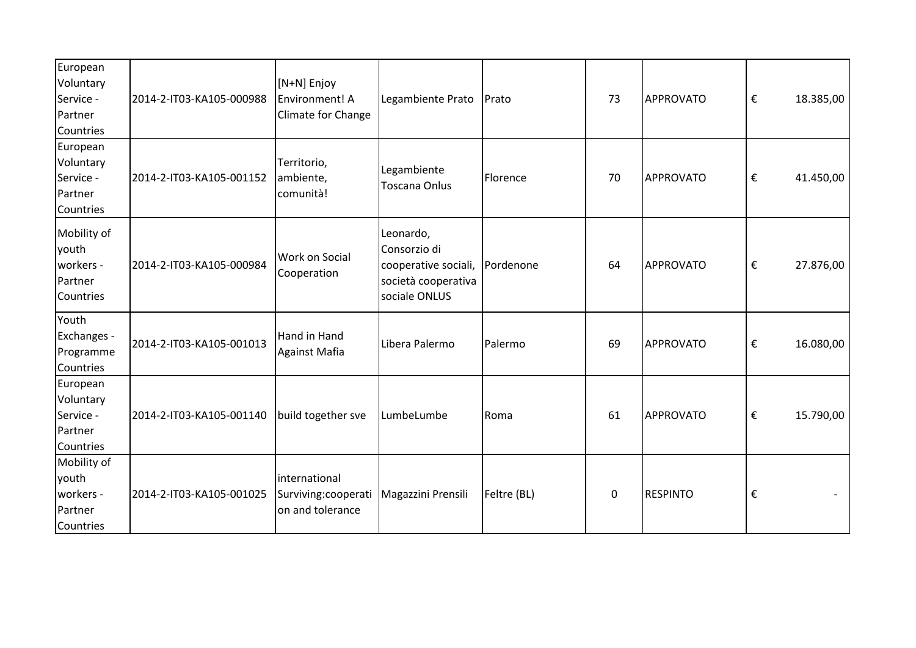| European<br>Voluntary<br>Service -<br>Partner<br>Countries | 2014-2-IT03-KA105-000988 | [N+N] Enjoy<br>Environment! A<br>Climate for Change       | Legambiente Prato                                                                         | Prato       | 73 | <b>APPROVATO</b> | $\boldsymbol{\epsilon}$ | 18.385,00 |
|------------------------------------------------------------|--------------------------|-----------------------------------------------------------|-------------------------------------------------------------------------------------------|-------------|----|------------------|-------------------------|-----------|
| European<br>Voluntary<br>Service -<br>Partner<br>Countries | 2014-2-IT03-KA105-001152 | Territorio,<br>ambiente,<br>comunità!                     | Legambiente<br>Toscana Onlus                                                              | Florence    | 70 | <b>APPROVATO</b> | $\boldsymbol{\epsilon}$ | 41.450,00 |
| Mobility of<br>youth<br>workers -<br>Partner<br>Countries  | 2014-2-IT03-KA105-000984 | <b>Work on Social</b><br>Cooperation                      | Leonardo,<br>Consorzio di<br>cooperative sociali,<br>società cooperativa<br>sociale ONLUS | Pordenone   | 64 | <b>APPROVATO</b> | €                       | 27.876,00 |
| Youth<br>Exchanges -<br>Programme<br>Countries             | 2014-2-IT03-KA105-001013 | Hand in Hand<br>Against Mafia                             | Libera Palermo                                                                            | Palermo     | 69 | <b>APPROVATO</b> | €                       | 16.080,00 |
| European<br>Voluntary<br>Service -<br>Partner<br>Countries | 2014-2-IT03-KA105-001140 | build together sve                                        | LumbeLumbe                                                                                | Roma        | 61 | APPROVATO        | €                       | 15.790,00 |
| Mobility of<br>youth<br>workers -<br>Partner<br>Countries  | 2014-2-IT03-KA105-001025 | international<br>Surviving: cooperati<br>on and tolerance | Magazzini Prensili                                                                        | Feltre (BL) | 0  | <b>RESPINTO</b>  | $\boldsymbol{\epsilon}$ |           |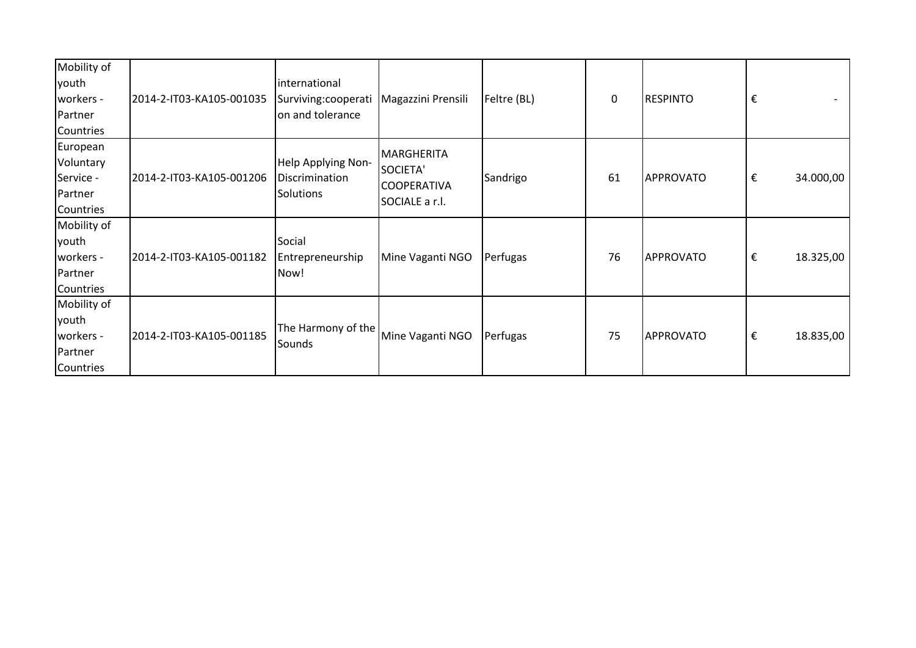| Mobility of<br>youth<br>workers -<br>Partner<br>Countries  | 2014-2-IT03-KA105-001035 | <i>international</i><br>Surviving: cooperati<br>on and tolerance | Magazzini Prensili                                                    | Feltre (BL) | $\mathbf 0$ | <b>RESPINTO</b>  | € |           |
|------------------------------------------------------------|--------------------------|------------------------------------------------------------------|-----------------------------------------------------------------------|-------------|-------------|------------------|---|-----------|
| European<br>Voluntary<br>Service -<br>Partner<br>Countries | 2014-2-IT03-KA105-001206 | Help Applying Non-<br>Discrimination<br>Solutions                | <b>MARGHERITA</b><br>SOCIETA'<br><b>COOPERATIVA</b><br>SOCIALE a r.l. | Sandrigo    | 61          | APPROVATO        | € | 34.000,00 |
| Mobility of<br>youth<br>workers -<br>Partner<br>Countries  | 2014-2-IT03-KA105-001182 | Social<br>Entrepreneurship<br>Now!                               | Mine Vaganti NGO                                                      | Perfugas    | 76          | <b>APPROVATO</b> | € | 18.325,00 |
| Mobility of<br>youth<br>workers -<br>Partner<br>Countries  | 2014-2-IT03-KA105-001185 | The Harmony of the<br>Sounds                                     | Mine Vaganti NGO                                                      | Perfugas    | 75          | APPROVATO        | € | 18.835,00 |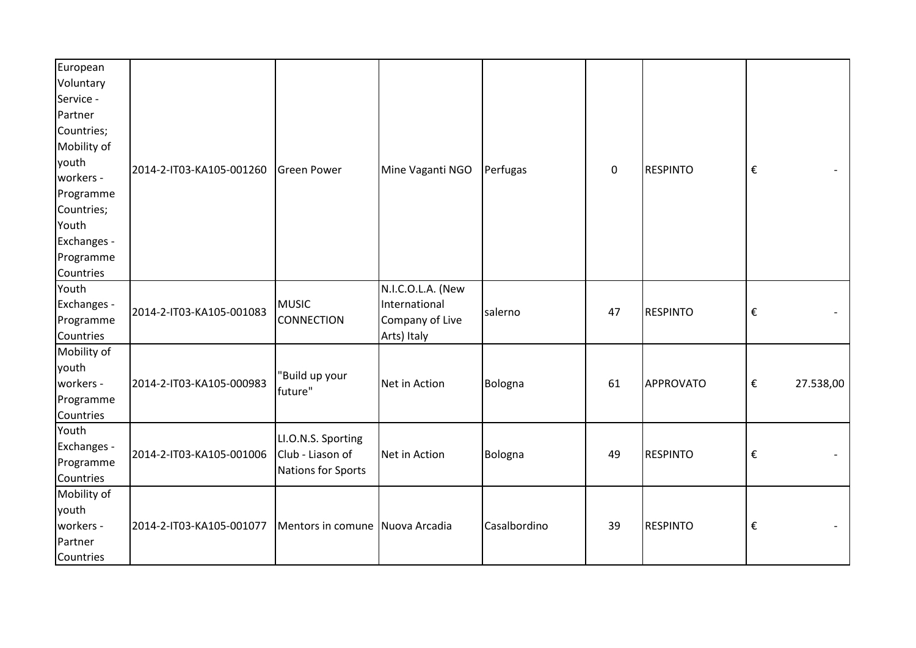| European    |                          |                                 |                   |              |             |                  |                         |           |
|-------------|--------------------------|---------------------------------|-------------------|--------------|-------------|------------------|-------------------------|-----------|
| Voluntary   |                          |                                 |                   |              |             |                  |                         |           |
| Service -   |                          |                                 |                   |              |             |                  |                         |           |
| Partner     |                          |                                 |                   |              |             |                  |                         |           |
| Countries;  |                          |                                 |                   |              |             |                  |                         |           |
| Mobility of |                          |                                 |                   |              |             |                  |                         |           |
| youth       | 2014-2-IT03-KA105-001260 | Green Power                     | Mine Vaganti NGO  | Perfugas     | $\mathbf 0$ | <b>RESPINTO</b>  | $\boldsymbol{\epsilon}$ |           |
| workers -   |                          |                                 |                   |              |             |                  |                         |           |
| Programme   |                          |                                 |                   |              |             |                  |                         |           |
| Countries;  |                          |                                 |                   |              |             |                  |                         |           |
| Youth       |                          |                                 |                   |              |             |                  |                         |           |
| Exchanges - |                          |                                 |                   |              |             |                  |                         |           |
| Programme   |                          |                                 |                   |              |             |                  |                         |           |
| Countries   |                          |                                 |                   |              |             |                  |                         |           |
| Youth       |                          |                                 | N.I.C.O.L.A. (New |              |             |                  |                         |           |
| Exchanges - | 2014-2-IT03-KA105-001083 | <b>MUSIC</b>                    | International     | salerno      | 47          | <b>RESPINTO</b>  | €                       |           |
| Programme   |                          | <b>CONNECTION</b>               | Company of Live   |              |             |                  |                         |           |
| Countries   |                          |                                 | Arts) Italy       |              |             |                  |                         |           |
| Mobility of |                          |                                 |                   |              |             |                  |                         |           |
| youth       |                          | 'Build up your                  |                   |              |             |                  |                         |           |
| workers -   | 2014-2-IT03-KA105-000983 | future"                         | Net in Action     | Bologna      | 61          | <b>APPROVATO</b> | $\boldsymbol{\epsilon}$ | 27.538,00 |
| Programme   |                          |                                 |                   |              |             |                  |                         |           |
| Countries   |                          |                                 |                   |              |             |                  |                         |           |
| Youth       |                          | LI.O.N.S. Sporting              |                   |              |             |                  |                         |           |
| Exchanges - | 2014-2-IT03-KA105-001006 | Club - Liason of                | Net in Action     | Bologna      | 49          | <b>RESPINTO</b>  | $\boldsymbol{\epsilon}$ |           |
| Programme   |                          | Nations for Sports              |                   |              |             |                  |                         |           |
| Countries   |                          |                                 |                   |              |             |                  |                         |           |
| Mobility of |                          |                                 |                   |              |             |                  |                         |           |
| youth       |                          |                                 |                   |              |             |                  |                         |           |
| workers -   | 2014-2-IT03-KA105-001077 | Mentors in comune Nuova Arcadia |                   | Casalbordino | 39          | <b>RESPINTO</b>  | €                       |           |
| Partner     |                          |                                 |                   |              |             |                  |                         |           |
| Countries   |                          |                                 |                   |              |             |                  |                         |           |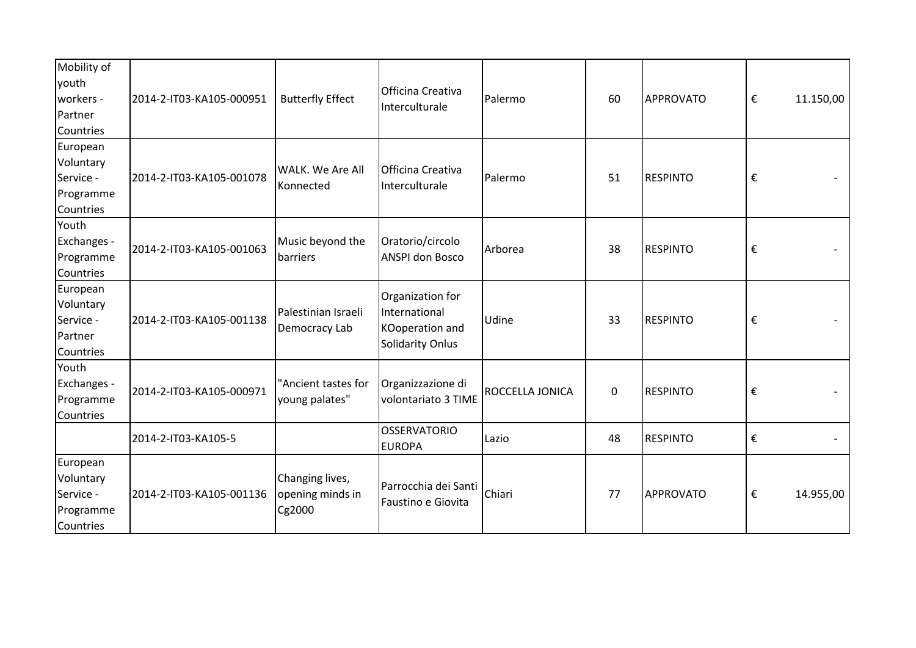| Mobility of<br>youth<br>workers -<br>Partner<br>Countries    | 2014-2-IT03-KA105-000951 | <b>Butterfly Effect</b>                       | Officina Creativa<br>Interculturale                                             | Palermo         | 60          | APPROVATO        | $\boldsymbol{\epsilon}$ | 11.150,00 |
|--------------------------------------------------------------|--------------------------|-----------------------------------------------|---------------------------------------------------------------------------------|-----------------|-------------|------------------|-------------------------|-----------|
| European<br>Voluntary<br>Service -<br>Programme<br>Countries | 2014-2-IT03-KA105-001078 | <b>WALK.</b> We Are All<br>Konnected          | Officina Creativa<br>Interculturale                                             | Palermo         | 51          | <b>RESPINTO</b>  | €                       |           |
| Youth<br>Exchanges -<br>Programme<br>Countries               | 2014-2-IT03-KA105-001063 | Music beyond the<br>barriers                  | Oratorio/circolo<br><b>ANSPI don Bosco</b>                                      | Arborea         | 38          | <b>RESPINTO</b>  | €                       |           |
| European<br>Voluntary<br>Service -<br>Partner<br>Countries   | 2014-2-IT03-KA105-001138 | Palestinian Israeli<br>Democracy Lab          | Organization for<br>International<br>KOoperation and<br><b>Solidarity Onlus</b> | Udine           | 33          | <b>RESPINTO</b>  | €                       |           |
| Youth<br>Exchanges -<br>Programme<br>Countries               | 2014-2-IT03-KA105-000971 | "Ancient tastes for<br>young palates"         | Organizzazione di<br>volontariato 3 TIME                                        | ROCCELLA JONICA | $\mathbf 0$ | <b>RESPINTO</b>  | $\boldsymbol{\epsilon}$ |           |
|                                                              | 2014-2-IT03-KA105-5      |                                               | <b>OSSERVATORIO</b><br><b>EUROPA</b>                                            | Lazio           | 48          | <b>RESPINTO</b>  | €                       |           |
| European<br>Voluntary<br>Service -<br>Programme<br>Countries | 2014-2-IT03-KA105-001136 | Changing lives,<br>opening minds in<br>Cg2000 | Parrocchia dei Santi<br>Faustino e Giovita                                      | Chiari          | 77          | <b>APPROVATO</b> | €                       | 14.955,00 |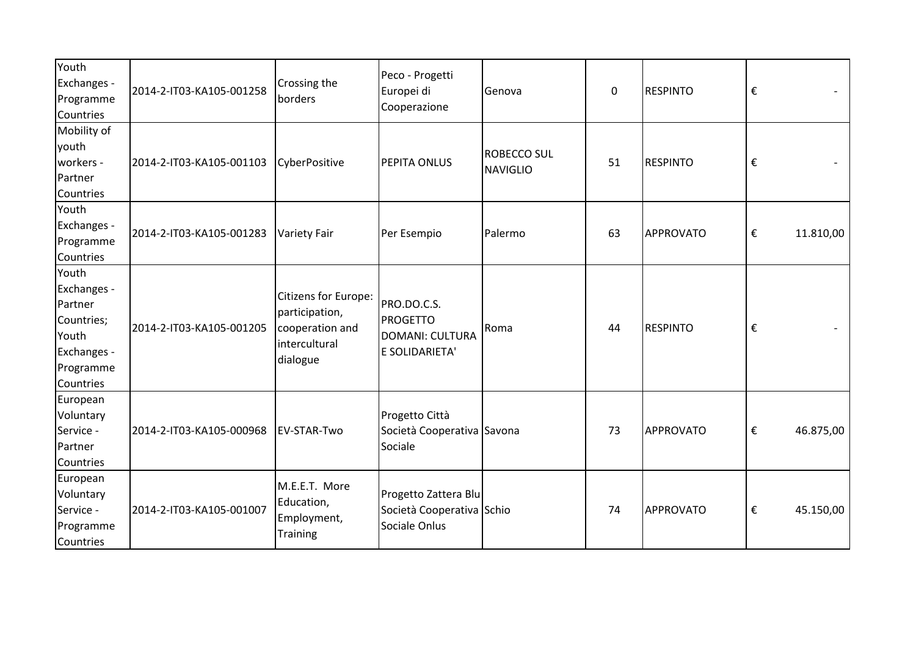| Youth<br>Exchanges -<br>Programme<br>Countries | 2014-2-IT03-KA105-001258 | Crossing the<br>borders                                                      | Peco - Progetti<br>Europei di<br>Cooperazione | Genova             | $\mathbf 0$ | <b>RESPINTO</b> | € |           |
|------------------------------------------------|--------------------------|------------------------------------------------------------------------------|-----------------------------------------------|--------------------|-------------|-----------------|---|-----------|
| Mobility of                                    |                          |                                                                              |                                               |                    |             |                 |   |           |
| youth                                          |                          |                                                                              |                                               | <b>ROBECCO SUL</b> |             |                 |   |           |
| workers -                                      | 2014-2-IT03-KA105-001103 | CyberPositive                                                                | PEPITA ONLUS                                  | <b>NAVIGLIO</b>    | 51          | <b>RESPINTO</b> | € |           |
| Partner                                        |                          |                                                                              |                                               |                    |             |                 |   |           |
| Countries                                      |                          |                                                                              |                                               |                    |             |                 |   |           |
| Youth                                          |                          |                                                                              |                                               |                    |             |                 |   |           |
| Exchanges -                                    | 2014-2-IT03-KA105-001283 | <b>Variety Fair</b>                                                          | Per Esempio                                   | Palermo            | 63          | APPROVATO       | € | 11.810,00 |
| Programme                                      |                          |                                                                              |                                               |                    |             |                 |   |           |
| Countries                                      |                          |                                                                              |                                               |                    |             |                 |   |           |
| Youth                                          |                          |                                                                              |                                               |                    |             |                 |   |           |
| Exchanges -                                    |                          | Citizens for Europe:                                                         |                                               |                    |             |                 |   |           |
| Partner                                        |                          | participation,                                                               | PRO.DO.C.S.                                   |                    |             |                 |   |           |
| Countries;                                     | 2014-2-IT03-KA105-001205 | cooperation and                                                              | <b>PROGETTO</b>                               | Roma               | 44          | <b>RESPINTO</b> | € |           |
| Youth                                          |                          | <i>intercultural</i>                                                         | DOMANI: CULTURA                               |                    |             |                 |   |           |
| Exchanges -                                    |                          | dialogue                                                                     | E SOLIDARIETA'                                |                    |             |                 |   |           |
| Programme                                      |                          |                                                                              |                                               |                    |             |                 |   |           |
| Countries                                      |                          |                                                                              |                                               |                    |             |                 |   |           |
| European                                       |                          |                                                                              |                                               |                    |             |                 |   |           |
| Voluntary                                      |                          |                                                                              | Progetto Città                                |                    |             |                 |   |           |
| Service -                                      | 2014-2-IT03-KA105-000968 | EV-STAR-Two                                                                  | Società Cooperativa Savona                    |                    | 73          | APPROVATO       | € | 46.875,00 |
| Partner                                        |                          |                                                                              | Sociale                                       |                    |             |                 |   |           |
| Countries                                      |                          |                                                                              |                                               |                    |             |                 |   |           |
| European                                       |                          | M.E.E.T. More                                                                |                                               |                    |             |                 |   |           |
| Voluntary                                      |                          | Education,                                                                   | Progetto Zattera Blu                          |                    |             |                 |   |           |
| Service -                                      | 2014-2-IT03-KA105-001007 | Società Cooperativa Schio<br>Employment,<br>Sociale Onlus<br><b>Training</b> |                                               | 74                 |             | APPROVATO       | € | 45.150,00 |
| Programme                                      |                          |                                                                              |                                               |                    |             |                 |   |           |
| Countries                                      |                          |                                                                              |                                               |                    |             |                 |   |           |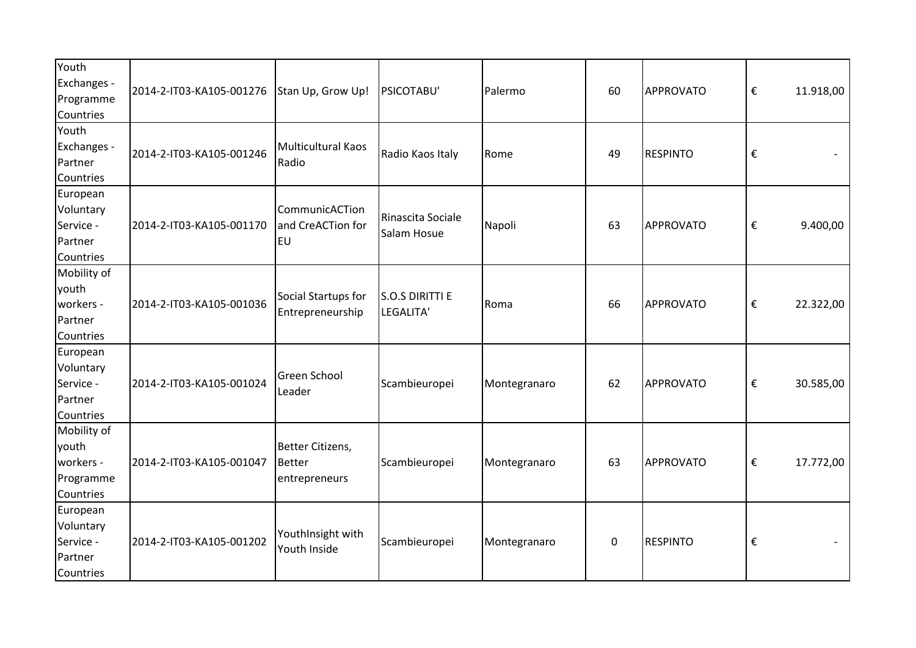| Youth<br>Exchanges -<br>Programme                           | 2014-2-IT03-KA105-001276 | Stan Up, Grow Up!                                | PSICOTABU'                          | <b>Palermo</b> | 60          | APPROVATO       | $\boldsymbol{\epsilon}$ | 11.918,00 |
|-------------------------------------------------------------|--------------------------|--------------------------------------------------|-------------------------------------|----------------|-------------|-----------------|-------------------------|-----------|
| Countries                                                   |                          |                                                  |                                     |                |             |                 |                         |           |
| Youth<br>Exchanges -<br>Partner<br><b>Countries</b>         | 2014-2-IT03-KA105-001246 | Multicultural Kaos<br>Radio                      | Radio Kaos Italy                    | Rome           | 49          | <b>RESPINTO</b> | €                       |           |
| European<br>Voluntary<br>Service -<br>Partner<br>Countries  | 2014-2-IT03-KA105-001170 | CommunicACTion<br>and CreACTion for<br><b>EU</b> | Rinascita Sociale<br>Salam Hosue    | Napoli         | 63          | APPROVATO       | €                       | 9.400,00  |
| Mobility of<br>youth<br>workers -<br>Partner<br>Countries   | 2014-2-IT03-KA105-001036 | Social Startups for<br>Entrepreneurship          | <b>S.O.S DIRITTI E</b><br>LEGALITA' | Roma           | 66          | APPROVATO       | €                       | 22.322,00 |
| European<br>Voluntary<br>Service -<br>Partner<br>Countries  | 2014-2-IT03-KA105-001024 | Green School<br>Leader                           | Scambieuropei                       | Montegranaro   | 62          | APPROVATO       | €                       | 30.585,00 |
| Mobility of<br>youth<br>workers -<br>Programme<br>Countries | 2014-2-IT03-KA105-001047 | Better Citizens,<br>Better<br>entrepreneurs      | Scambieuropei                       | Montegranaro   | 63          | APPROVATO       | €                       | 17.772,00 |
| European<br>Voluntary<br>Service -<br>Partner<br>Countries  | 2014-2-IT03-KA105-001202 | YouthInsight with<br>Youth Inside                | Scambieuropei                       | Montegranaro   | $\mathbf 0$ | <b>RESPINTO</b> | €                       |           |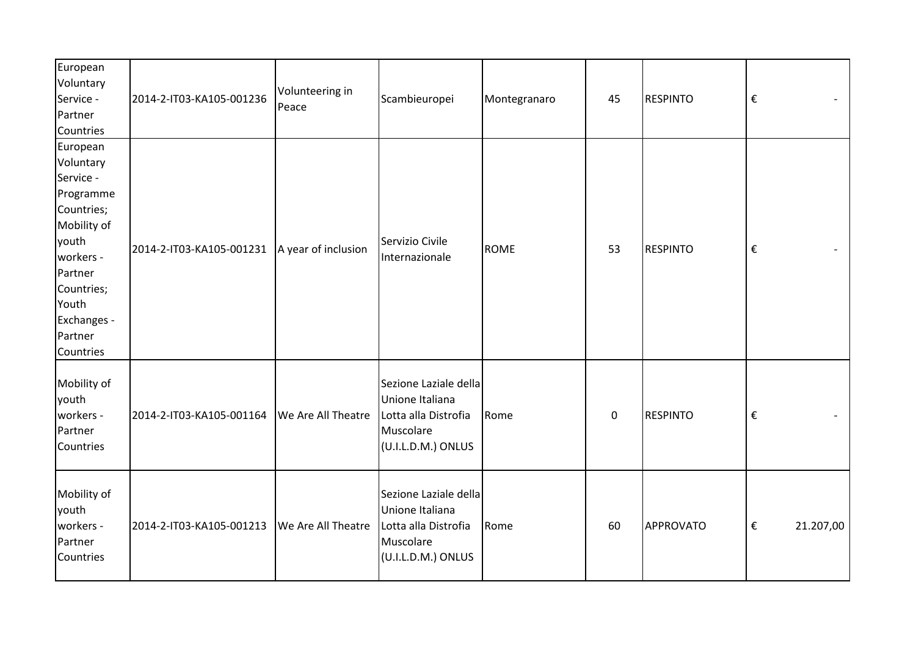| European<br>Voluntary<br>Service -<br>Partner<br>Countries                                                                                                                  | 2014-2-IT03-KA105-001236                       | Volunteering in<br>Peace | Scambieuropei                                                                                       | Montegranaro | 45          | <b>RESPINTO</b> | $\boldsymbol{\epsilon}$              |
|-----------------------------------------------------------------------------------------------------------------------------------------------------------------------------|------------------------------------------------|--------------------------|-----------------------------------------------------------------------------------------------------|--------------|-------------|-----------------|--------------------------------------|
| European<br>Voluntary<br>Service -<br>Programme<br>Countries;<br>Mobility of<br>youth<br>workers -<br>Partner<br>Countries;<br>Youth<br>Exchanges -<br>Partner<br>Countries | 2014-2-IT03-KA105-001231   A year of inclusion |                          | Servizio Civile<br>Internazionale                                                                   | <b>ROME</b>  | 53          | <b>RESPINTO</b> | $\boldsymbol{\epsilon}$              |
| Mobility of<br>youth<br>workers -<br>Partner<br>Countries                                                                                                                   | 2014-2-IT03-KA105-001164                       | We Are All Theatre       | Sezione Laziale della<br>Unione Italiana<br>Lotta alla Distrofia<br>Muscolare<br>(U.I.L.D.M.) ONLUS | Rome         | $\mathbf 0$ | <b>RESPINTO</b> | $\boldsymbol{\epsilon}$              |
| Mobility of<br>youth<br>workers -<br>Partner<br>Countries                                                                                                                   | 2014-2-IT03-KA105-001213                       | We Are All Theatre       | Sezione Laziale della<br>Unione Italiana<br>Lotta alla Distrofia<br>Muscolare<br>(U.I.L.D.M.) ONLUS | Rome         | 60          | APPROVATO       | $\boldsymbol{\epsilon}$<br>21.207,00 |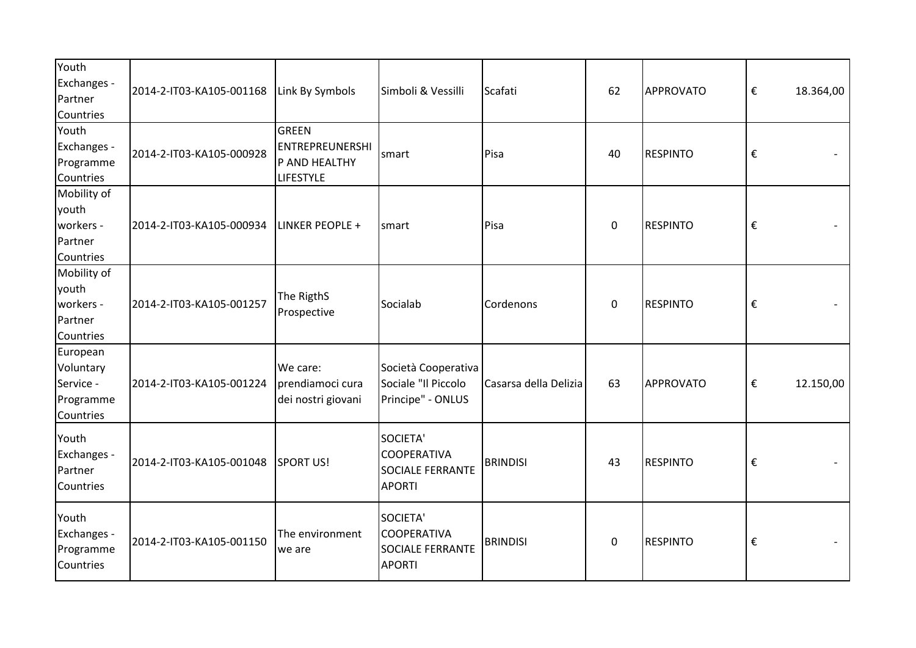| Youth<br>Exchanges -<br>Partner<br>Countries                 | 2014-2-IT03-KA105-001168 | Link By Symbols                                                             | Simboli & Vessilli                                                         | Scafati               | 62          | APPROVATO       | $\boldsymbol{\epsilon}$ | 18.364,00 |
|--------------------------------------------------------------|--------------------------|-----------------------------------------------------------------------------|----------------------------------------------------------------------------|-----------------------|-------------|-----------------|-------------------------|-----------|
| Youth<br>Exchanges -<br>Programme<br>Countries               | 2014-2-IT03-KA105-000928 | <b>GREEN</b><br><b>ENTREPREUNERSHI</b><br>P AND HEALTHY<br><b>LIFESTYLE</b> | smart                                                                      | Pisa                  | 40          | <b>RESPINTO</b> | $\boldsymbol{\epsilon}$ |           |
| Mobility of<br>youth<br>workers -<br>Partner<br>Countries    | 2014-2-IT03-KA105-000934 | LINKER PEOPLE +                                                             | smart                                                                      | Pisa                  | $\mathbf 0$ | <b>RESPINTO</b> | €                       |           |
| Mobility of<br>youth<br>workers -<br>Partner<br>Countries    | 2014-2-IT03-KA105-001257 | The RigthS<br>Prospective                                                   | Socialab                                                                   | Cordenons             | $\mathbf 0$ | <b>RESPINTO</b> | $\boldsymbol{\epsilon}$ |           |
| European<br>Voluntary<br>Service -<br>Programme<br>Countries | 2014-2-IT03-KA105-001224 | We care:<br>prendiamoci cura<br>dei nostri giovani                          | Società Cooperativa<br>Sociale "Il Piccolo<br>Principe" - ONLUS            | Casarsa della Delizia | 63          | APPROVATO       | $\boldsymbol{\epsilon}$ | 12.150,00 |
| Youth<br>Exchanges -<br>Partner<br>Countries                 | 2014-2-IT03-KA105-001048 | <b>SPORT US!</b>                                                            | SOCIETA'<br><b>COOPERATIVA</b><br><b>SOCIALE FERRANTE</b><br><b>APORTI</b> | <b>BRINDISI</b>       | 43          | <b>RESPINTO</b> | €                       |           |
| Youth<br>Exchanges -<br>Programme<br>Countries               | 2014-2-IT03-KA105-001150 | The environment<br>we are                                                   | SOCIETA'<br><b>COOPERATIVA</b><br><b>SOCIALE FERRANTE</b><br><b>APORTI</b> | <b>BRINDISI</b>       | $\mathbf 0$ | <b>RESPINTO</b> | €                       |           |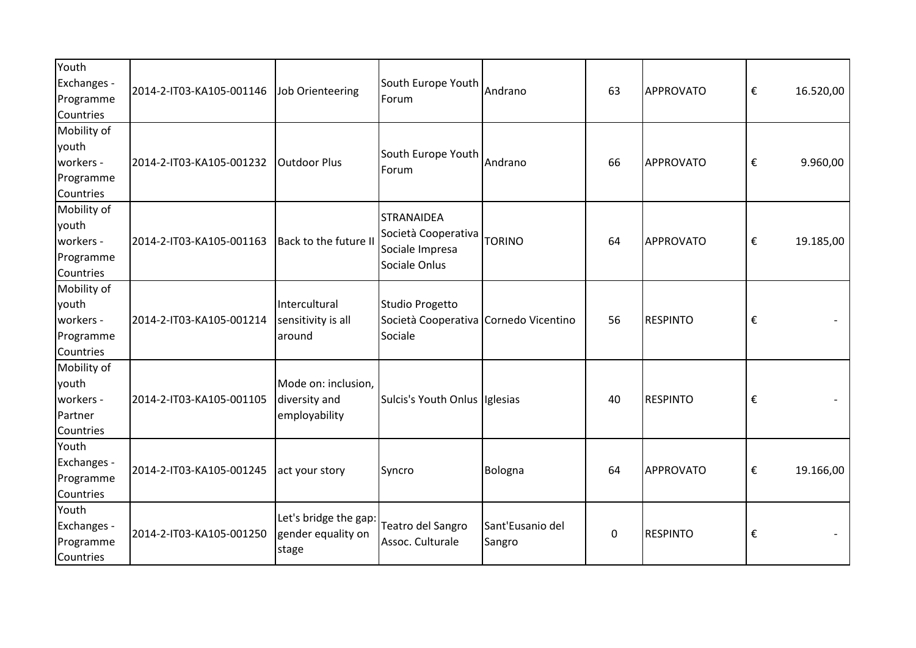| Youth<br>Exchanges -<br>Programme<br>Countries              | 2014-2-IT03-KA105-001146 | Job Orienteering                                      | South Europe Youth<br>Forum                                                  | Andrano                    | 63 | <b>APPROVATO</b> | € | 16.520,00 |
|-------------------------------------------------------------|--------------------------|-------------------------------------------------------|------------------------------------------------------------------------------|----------------------------|----|------------------|---|-----------|
| Mobility of<br>youth<br>workers -<br>Programme<br>Countries | 2014-2-IT03-KA105-001232 | <b>Outdoor Plus</b>                                   | South Europe Youth<br>Forum                                                  | Andrano                    | 66 | APPROVATO        | € | 9.960,00  |
| Mobility of<br>youth<br>workers -<br>Programme<br>Countries | 2014-2-IT03-KA105-001163 | Back to the future II                                 | <b>STRANAIDEA</b><br>Società Cooperativa<br>Sociale Impresa<br>Sociale Onlus | <b>TORINO</b>              | 64 | <b>APPROVATO</b> | € | 19.185,00 |
| Mobility of<br>youth<br>workers -<br>Programme<br>Countries | 2014-2-IT03-KA105-001214 | Intercultural<br>sensitivity is all<br>around         | Studio Progetto<br>Società Cooperativa Cornedo Vicentino<br>Sociale          |                            | 56 | <b>RESPINTO</b>  | € |           |
| Mobility of<br>youth<br>workers -<br>Partner<br>Countries   | 2014-2-IT03-KA105-001105 | Mode on: inclusion,<br>diversity and<br>employability | Sulcis's Youth Onlus Iglesias                                                |                            | 40 | <b>RESPINTO</b>  | € |           |
| Youth<br>Exchanges -<br>Programme<br>Countries              | 2014-2-IT03-KA105-001245 | act your story                                        | Syncro                                                                       | Bologna                    | 64 | <b>APPROVATO</b> | € | 19.166,00 |
| Youth<br>Exchanges -<br>Programme<br>Countries              | 2014-2-IT03-KA105-001250 | Let's bridge the gap:<br>gender equality on<br>stage  | Teatro del Sangro<br>Assoc. Culturale                                        | Sant'Eusanio del<br>Sangro | 0  | <b>RESPINTO</b>  | € |           |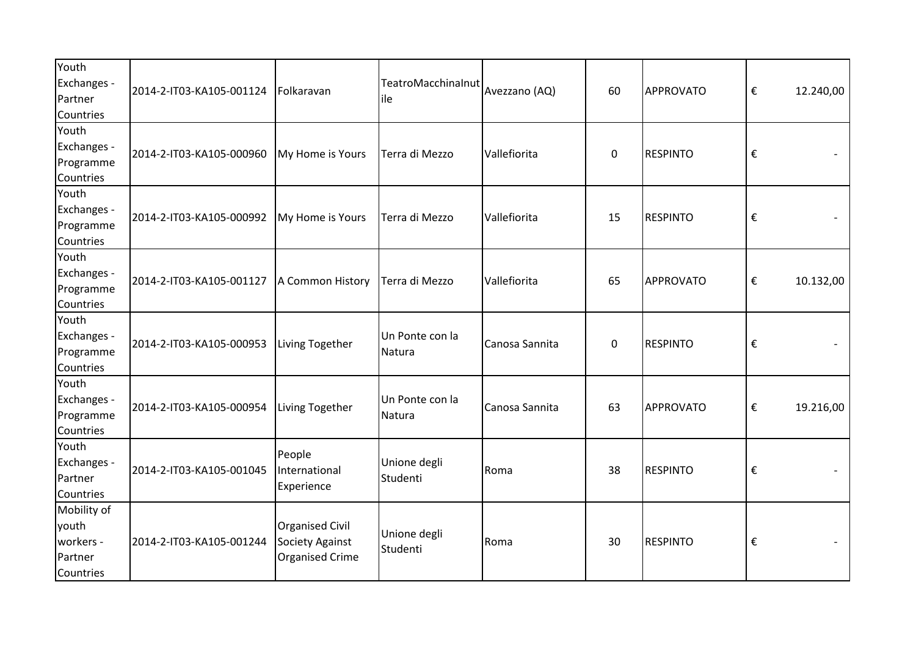| Youth<br>Exchanges -<br>Partner<br>Countries              | 2014-2-IT03-KA105-001124 | Folkaravan                                                   | TeatroMacchinalnut<br>ile | Avezzano (AQ)  | 60          | APPROVATO       | €                       | 12.240,00 |
|-----------------------------------------------------------|--------------------------|--------------------------------------------------------------|---------------------------|----------------|-------------|-----------------|-------------------------|-----------|
| Youth<br>Exchanges -<br>Programme<br>Countries            | 2014-2-IT03-KA105-000960 | My Home is Yours                                             | Terra di Mezzo            | Vallefiorita   | $\mathbf 0$ | <b>RESPINTO</b> | €                       |           |
| Youth<br>Exchanges -<br>Programme<br>Countries            | 2014-2-IT03-KA105-000992 | My Home is Yours                                             | Terra di Mezzo            | Vallefiorita   | 15          | <b>RESPINTO</b> | €                       |           |
| Youth<br>Exchanges -<br>Programme<br>Countries            | 2014-2-IT03-KA105-001127 | A Common History                                             | Terra di Mezzo            | Vallefiorita   | 65          | APPROVATO       | €                       | 10.132,00 |
| Youth<br>Exchanges -<br>Programme<br>Countries            | 2014-2-IT03-KA105-000953 | Living Together                                              | Un Ponte con la<br>Natura | Canosa Sannita | $\pmb{0}$   | <b>RESPINTO</b> | €                       |           |
| Youth<br>Exchanges -<br>Programme<br>Countries            | 2014-2-IT03-KA105-000954 | Living Together                                              | Un Ponte con la<br>Natura | Canosa Sannita | 63          | APPROVATO       | €                       | 19.216,00 |
| Youth<br>Exchanges -<br>Partner<br>Countries              | 2014-2-IT03-KA105-001045 | People<br>International<br>Experience                        | Unione degli<br>Studenti  | Roma           | 38          | <b>RESPINTO</b> | $\boldsymbol{\epsilon}$ |           |
| Mobility of<br>youth<br>workers -<br>Partner<br>Countries | 2014-2-IT03-KA105-001244 | Organised Civil<br><b>Society Against</b><br>Organised Crime | Unione degli<br>Studenti  | Roma           | 30          | <b>RESPINTO</b> | €                       |           |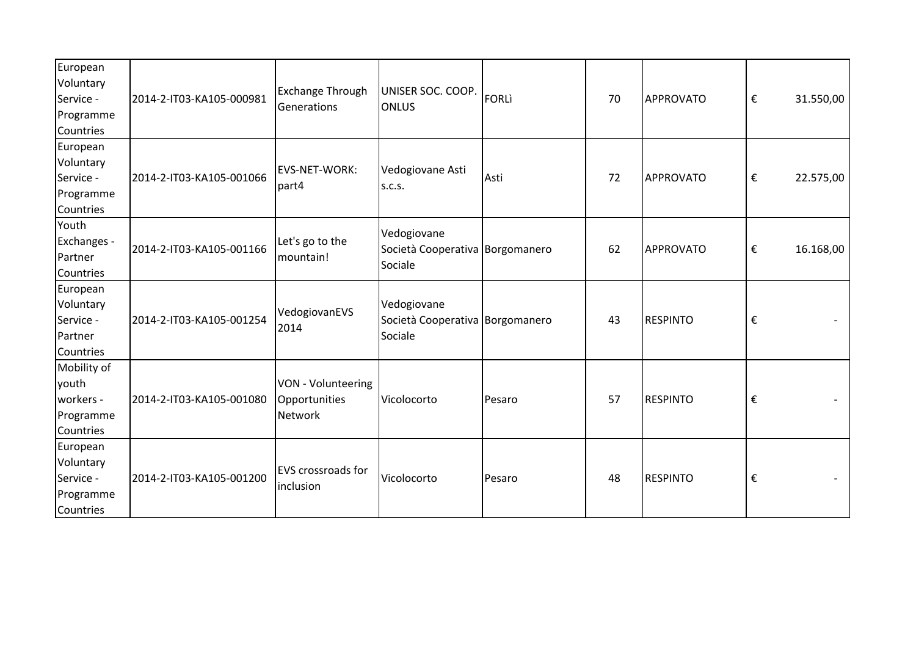| European<br>Voluntary<br>Service -<br>Programme<br>Countries | 2014-2-IT03-KA105-000981 | Exchange Through<br>Generations                       | UNISER SOC. COOP.<br><b>ONLUS</b>                         | FORLI  | 70 | APPROVATO        | €                       | 31.550,00 |
|--------------------------------------------------------------|--------------------------|-------------------------------------------------------|-----------------------------------------------------------|--------|----|------------------|-------------------------|-----------|
| European<br>Voluntary<br>Service -<br>Programme<br>Countries | 2014-2-IT03-KA105-001066 | EVS-NET-WORK:<br>part4                                | Vedogiovane Asti<br><b>S.C.S.</b>                         | Asti   | 72 | APPROVATO        | €                       | 22.575,00 |
| Youth<br>Exchanges -<br>Partner<br>Countries                 | 2014-2-IT03-KA105-001166 | Let's go to the<br>mountain!                          | Vedogiovane<br>Società Cooperativa Borgomanero<br>Sociale |        | 62 | <b>APPROVATO</b> | $\boldsymbol{\epsilon}$ | 16.168,00 |
| European<br>Voluntary<br>Service -<br>Partner<br>Countries   | 2014-2-IT03-KA105-001254 | VedogiovanEVS<br>2014                                 | Vedogiovane<br>Società Cooperativa Borgomanero<br>Sociale |        | 43 | <b>RESPINTO</b>  | €                       |           |
| Mobility of<br>youth<br>workers -<br>Programme<br>Countries  | 2014-2-IT03-KA105-001080 | VON - Volunteering<br>Opportunities<br><b>Network</b> | Vicolocorto                                               | Pesaro | 57 | <b>RESPINTO</b>  | €                       |           |
| European<br>Voluntary<br>Service -<br>Programme<br>Countries | 2014-2-IT03-KA105-001200 | <b>EVS</b> crossroads for<br>linclusion               | Vicolocorto                                               | Pesaro | 48 | <b>RESPINTO</b>  | €                       |           |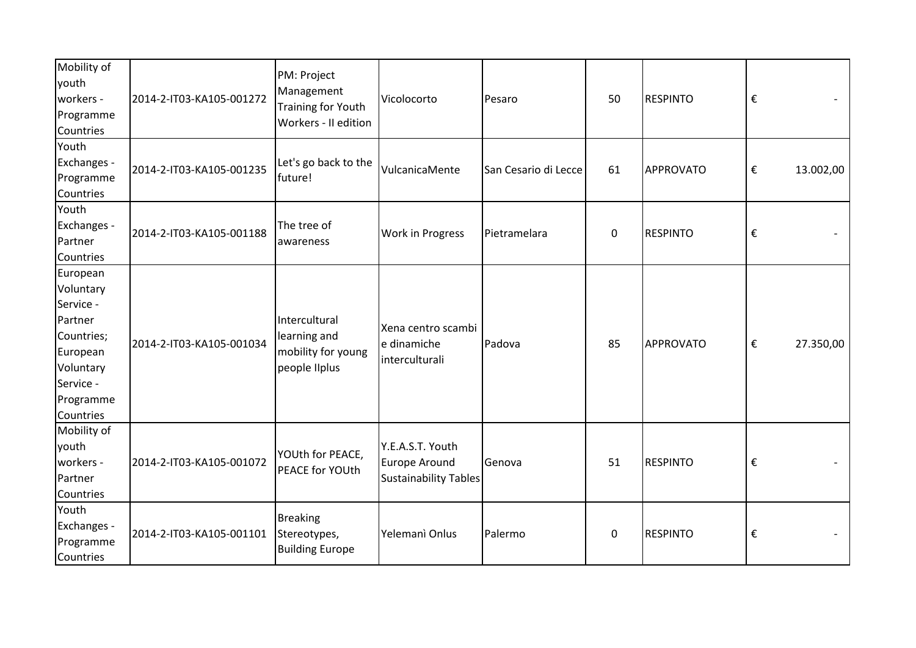| Mobility of<br>youth<br>workers -<br>Programme<br>Countries                                                                 | 2014-2-IT03-KA105-001272 | PM: Project<br>Management<br>Training for Youth<br>Workers - II edition | Vicolocorto                                                              | Pesaro               | 50          | <b>RESPINTO</b> | €                       |           |
|-----------------------------------------------------------------------------------------------------------------------------|--------------------------|-------------------------------------------------------------------------|--------------------------------------------------------------------------|----------------------|-------------|-----------------|-------------------------|-----------|
| Youth<br>Exchanges -<br>Programme<br>Countries                                                                              | 2014-2-IT03-KA105-001235 | Let's go back to the<br>future!                                         | VulcanicaMente                                                           | San Cesario di Lecce | 61          | APPROVATO       | €                       | 13.002,00 |
| Youth<br>Exchanges -<br>Partner<br>Countries                                                                                | 2014-2-IT03-KA105-001188 | The tree of<br>awareness                                                | Work in Progress                                                         | Pietramelara         | $\mathbf 0$ | <b>RESPINTO</b> | $\boldsymbol{\epsilon}$ |           |
| European<br>Voluntary<br>Service -<br>Partner<br>Countries;<br>European<br>Voluntary<br>Service -<br>Programme<br>Countries | 2014-2-IT03-KA105-001034 | Intercultural<br>learning and<br>mobility for young<br>people liplus    | Xena centro scambi<br>e dinamiche<br>interculturali                      | Padova               | 85          | APPROVATO       | €                       | 27.350,00 |
| Mobility of<br>youth<br>workers -<br>Partner<br>Countries                                                                   | 2014-2-IT03-KA105-001072 | YOUth for PEACE,<br>PEACE for YOUth                                     | Y.E.A.S.T. Youth<br><b>Europe Around</b><br><b>Sustainability Tables</b> | Genova               | 51          | <b>RESPINTO</b> | €                       |           |
| Youth<br>Exchanges -<br>Programme<br>Countries                                                                              | 2014-2-IT03-KA105-001101 | <b>Breaking</b><br>Stereotypes,<br><b>Building Europe</b>               | Yelemanì Onlus                                                           | Palermo              | 0           | <b>RESPINTO</b> | €                       |           |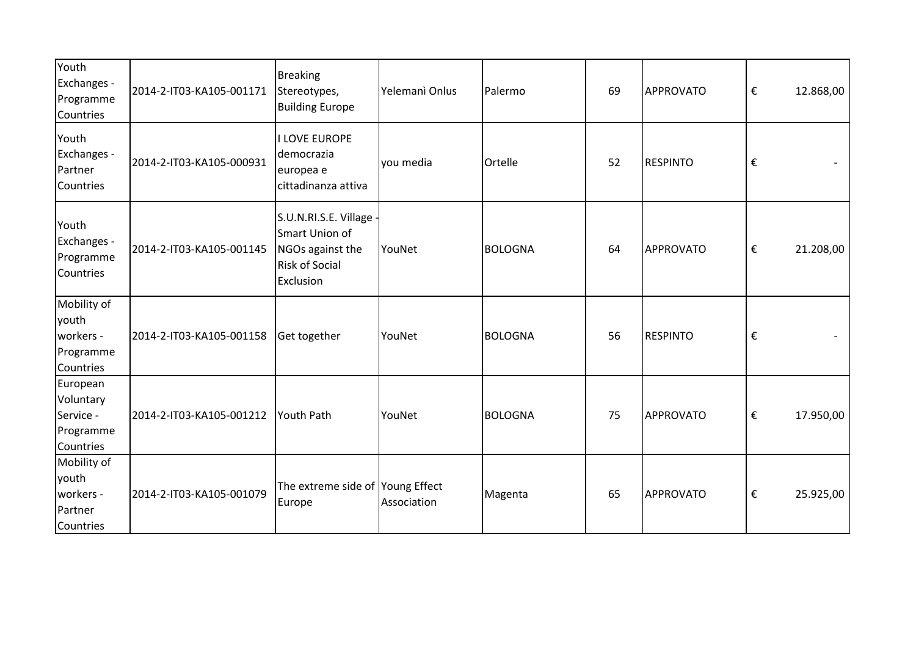| Youth<br>Exchanges -<br>Programme<br>Countries               | 2014-2-IT03-KA105-001171 | <b>Breaking</b><br>Stereotypes,<br><b>Building Europe</b>                                         | Yelemanì Onlus | Palermo        | 69 | APPROVATO        | €                       | 12.868,00 |
|--------------------------------------------------------------|--------------------------|---------------------------------------------------------------------------------------------------|----------------|----------------|----|------------------|-------------------------|-----------|
| Youth<br>Exchanges -<br>Partner<br>Countries                 | 2014-2-IT03-KA105-000931 | <b>I LOVE EUROPE</b><br>democrazia<br>europea e<br>cittadinanza attiva                            | you media      | Ortelle        | 52 | <b>RESPINTO</b>  | $\boldsymbol{\epsilon}$ |           |
| Youth<br>Exchanges -<br>Programme<br>Countries               | 2014-2-IT03-KA105-001145 | S.U.N.RI.S.E. Village<br>Smart Union of<br>NGOs against the<br><b>Risk of Social</b><br>Exclusion | YouNet         | <b>BOLOGNA</b> | 64 | <b>APPROVATO</b> | €                       | 21.208,00 |
| Mobility of<br>youth<br>workers -<br>Programme<br>Countries  | 2014-2-IT03-KA105-001158 | Get together                                                                                      | YouNet         | <b>BOLOGNA</b> | 56 | <b>RESPINTO</b>  | €                       |           |
| European<br>Voluntary<br>Service -<br>Programme<br>Countries | 2014-2-IT03-KA105-001212 | Youth Path                                                                                        | YouNet         | <b>BOLOGNA</b> | 75 | <b>APPROVATO</b> | €                       | 17.950,00 |
| Mobility of<br>youth<br>workers -<br>Partner<br>Countries    | 2014-2-IT03-KA105-001079 | The extreme side of Young Effect<br>Europe                                                        | Association    | Magenta        | 65 | APPROVATO        | $\boldsymbol{\epsilon}$ | 25.925,00 |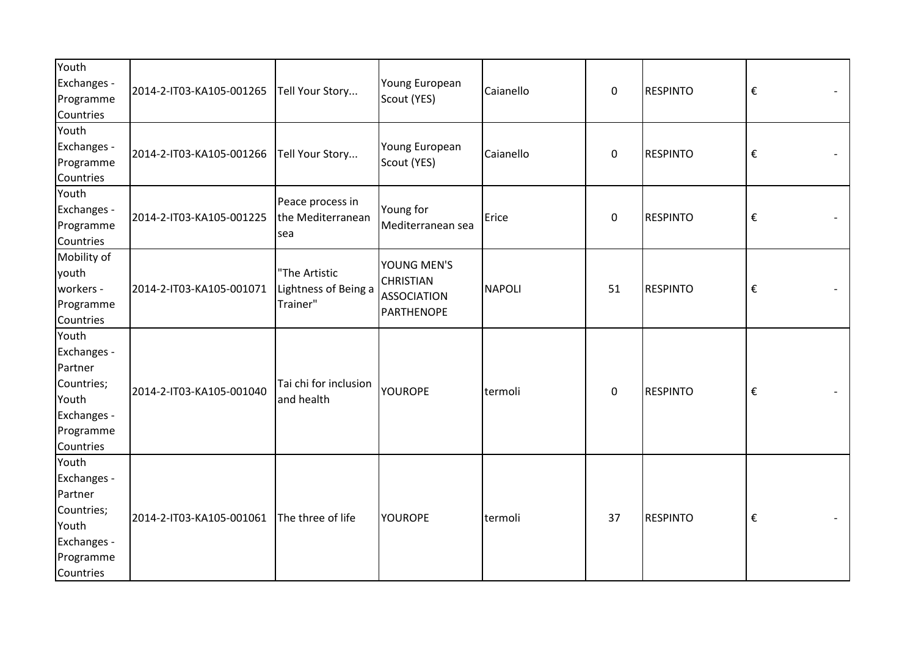| Youth<br>Exchanges -<br>Programme<br>Countries                                                  | 2014-2-IT03-KA105-001265 | Tell Your Story                                   | Young European<br>Scout (YES)                                       | Caianello | $\pmb{0}$   | <b>RESPINTO</b> | $\boldsymbol{\epsilon}$ |
|-------------------------------------------------------------------------------------------------|--------------------------|---------------------------------------------------|---------------------------------------------------------------------|-----------|-------------|-----------------|-------------------------|
| Youth<br>Exchanges -<br>Programme<br>Countries                                                  | 2014-2-IT03-KA105-001266 | Tell Your Story                                   | Young European<br>Scout (YES)                                       | Caianello | $\pmb{0}$   | <b>RESPINTO</b> | $\boldsymbol{\epsilon}$ |
| Youth<br>Exchanges -<br>Programme<br>Countries                                                  | 2014-2-IT03-KA105-001225 | Peace process in<br>the Mediterranean<br>sea      | Young for<br>Mediterranean sea                                      | Erice     | $\mathbf 0$ | <b>RESPINTO</b> | $\boldsymbol{\epsilon}$ |
| Mobility of<br>youth<br>workers -<br>Programme<br>Countries                                     | 2014-2-IT03-KA105-001071 | "The Artistic<br>Lightness of Being a<br>Trainer" | YOUNG MEN'S<br><b>CHRISTIAN</b><br><b>ASSOCIATION</b><br>PARTHENOPE | NAPOLI    | 51          | <b>RESPINTO</b> | $\boldsymbol{\epsilon}$ |
| Youth<br>Exchanges -<br>Partner<br>Countries;<br>Youth<br>Exchanges -<br>Programme<br>Countries | 2014-2-IT03-KA105-001040 | Tai chi for inclusion<br>and health               | YOUROPE                                                             | termoli   | $\mathbf 0$ | <b>RESPINTO</b> | $\boldsymbol{\epsilon}$ |
| Youth<br>Exchanges -<br>Partner<br>Countries;<br>Youth<br>Exchanges -<br>Programme<br>Countries | 2014-2-IT03-KA105-001061 | The three of life                                 | <b>YOUROPE</b>                                                      | termoli   | 37          | <b>RESPINTO</b> | $\boldsymbol{\epsilon}$ |